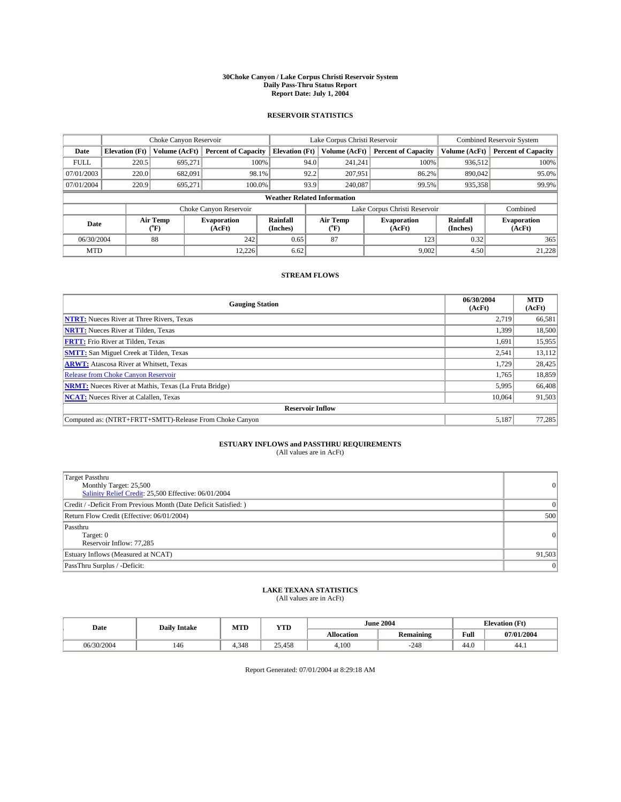#### **30Choke Canyon / Lake Corpus Christi Reservoir System Daily Pass-Thru Status Report Report Date: July 1, 2004**

### **RESERVOIR STATISTICS**

|                                    | Choke Canyon Reservoir |                  | Lake Corpus Christi Reservoir |                       |      |                  | <b>Combined Reservoir System</b> |                      |                              |
|------------------------------------|------------------------|------------------|-------------------------------|-----------------------|------|------------------|----------------------------------|----------------------|------------------------------|
| Date                               | <b>Elevation</b> (Ft)  | Volume (AcFt)    | <b>Percent of Capacity</b>    | <b>Elevation (Ft)</b> |      | Volume (AcFt)    | <b>Percent of Capacity</b>       | Volume (AcFt)        | <b>Percent of Capacity</b>   |
| <b>FULL</b>                        | 220.5                  | 695,271          |                               | 100%                  | 94.0 | 241,241          | 100%                             | 936.512              | 100%                         |
| 07/01/2003                         | 220.0                  | 682.091          | 98.1%                         |                       | 92.2 | 207,951          | 86.2%                            | 890,042              | 95.0%                        |
| 07/01/2004                         | 220.9                  | 695.271          | 100.0%                        |                       | 93.9 | 240,087          | 99.5%                            | 935,358              | 99.9%                        |
| <b>Weather Related Information</b> |                        |                  |                               |                       |      |                  |                                  |                      |                              |
|                                    |                        |                  | Choke Canyon Reservoir        |                       |      |                  | Lake Corpus Christi Reservoir    |                      | Combined                     |
| Date                               |                        | Air Temp<br>(°F) | <b>Evaporation</b><br>(AcFt)  | Rainfall<br>(Inches)  |      | Air Temp<br>("F) | <b>Evaporation</b><br>(AcFt)     | Rainfall<br>(Inches) | <b>Evaporation</b><br>(AcFt) |
| 06/30/2004                         |                        | 88               | 242                           | 0.65                  |      | 87               | 123                              | 0.32                 | 365                          |
| <b>MTD</b>                         |                        |                  | 12.226                        | 6.62                  |      |                  | 9,002                            | 4.50                 | 21,228                       |

### **STREAM FLOWS**

| <b>Gauging Station</b>                                       | 06/30/2004<br>(AcFt) | <b>MTD</b><br>(AcFt) |  |  |  |  |
|--------------------------------------------------------------|----------------------|----------------------|--|--|--|--|
| <b>NTRT:</b> Nueces River at Three Rivers, Texas             | 2,719                | 66,581               |  |  |  |  |
| <b>NRTT:</b> Nueces River at Tilden, Texas                   | 1,399                | 18,500               |  |  |  |  |
| <b>FRTT:</b> Frio River at Tilden, Texas                     | 1,691                | 15,955               |  |  |  |  |
| <b>SMTT:</b> San Miguel Creek at Tilden, Texas               | 2,541                | 13,112               |  |  |  |  |
| <b>ARWT:</b> Atascosa River at Whitsett, Texas               | 1,729                | 28,425               |  |  |  |  |
| <b>Release from Choke Canyon Reservoir</b>                   | 1,765                | 18,859               |  |  |  |  |
| <b>NRMT:</b> Nueces River at Mathis, Texas (La Fruta Bridge) | 5,995                | 66,408               |  |  |  |  |
| <b>NCAT:</b> Nueces River at Calallen, Texas                 | 10,064               | 91,503               |  |  |  |  |
| <b>Reservoir Inflow</b>                                      |                      |                      |  |  |  |  |
| Computed as: (NTRT+FRTT+SMTT)-Release From Choke Canyon      | 5,187                | 77,285               |  |  |  |  |

## **ESTUARY INFLOWS and PASSTHRU REQUIREMENTS**<br>(All values are in AcFt)

| Target Passthru<br>Monthly Target: 25,500                                                                                | $\Omega$ |
|--------------------------------------------------------------------------------------------------------------------------|----------|
| Salinity Relief Credit: 25,500 Effective: 06/01/2004<br>Credit / -Deficit From Previous Month (Date Deficit Satisfied: ) |          |
| Return Flow Credit (Effective: 06/01/2004)                                                                               | 500      |
| Passthru<br>Target: 0<br>Reservoir Inflow: 77,285                                                                        | $\Omega$ |
| Estuary Inflows (Measured at NCAT)                                                                                       | 91,503   |
| PassThru Surplus / -Deficit:                                                                                             | 0        |

## **LAKE TEXANA STATISTICS** (All values are in AcFt)

| Date       | <b>Daily Intake</b> | MTD   | YTD    |                   | <b>June 2004</b>             | <b>Elevation</b> (Ft) |            |
|------------|---------------------|-------|--------|-------------------|------------------------------|-----------------------|------------|
|            |                     |       |        | <b>Allocation</b> | $\cdots$<br><b>Remaining</b> | Full                  | 07/01/2004 |
| 06/30/2004 | 146                 | 4.348 | 25,458 | 4,100             | $-248$                       | $\sqrt{2}$<br>44.0    | 44.1       |

Report Generated: 07/01/2004 at 8:29:18 AM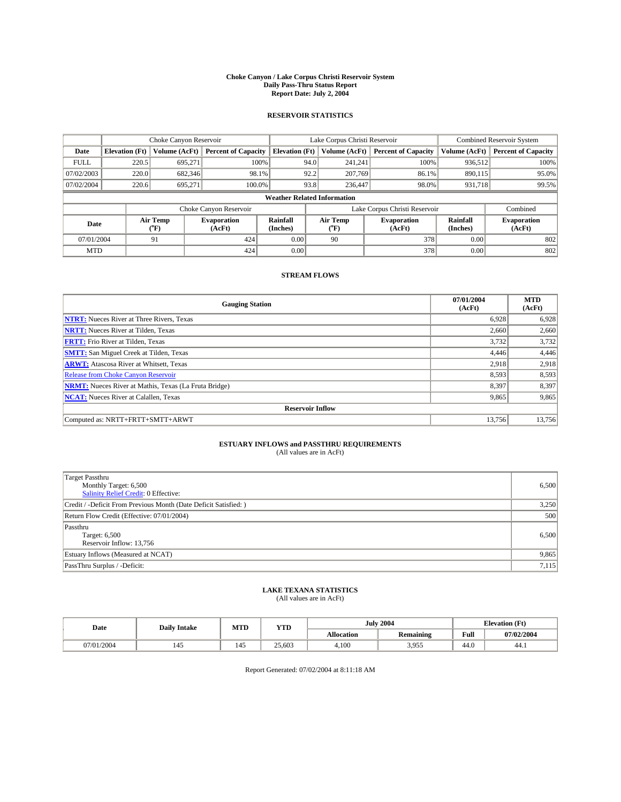#### **Choke Canyon / Lake Corpus Christi Reservoir System Daily Pass-Thru Status Report Report Date: July 2, 2004**

### **RESERVOIR STATISTICS**

|                                    |                       | Choke Canyon Reservoir   |                              |                       | Lake Corpus Christi Reservoir | <b>Combined Reservoir System</b> |                      |                              |
|------------------------------------|-----------------------|--------------------------|------------------------------|-----------------------|-------------------------------|----------------------------------|----------------------|------------------------------|
| Date                               | <b>Elevation</b> (Ft) | Volume (AcFt)            | <b>Percent of Capacity</b>   | <b>Elevation</b> (Ft) | Volume (AcFt)                 | <b>Percent of Capacity</b>       | Volume (AcFt)        | <b>Percent of Capacity</b>   |
| <b>FULL</b>                        | 220.5                 | 695.271                  | 100%                         |                       | 94.0<br>241,241               | 100%                             | 936,512              | 100%                         |
| 07/02/2003                         | 220.0                 | 682,346                  | 98.1%                        |                       | 92.2<br>207,769               | 86.1%                            | 890.115              | 95.0%                        |
| 07/02/2004                         | 220.6                 | 695.271                  | $100.0\%$                    |                       | 93.8<br>236,447               | 98.0%                            | 931.718              | 99.5%                        |
| <b>Weather Related Information</b> |                       |                          |                              |                       |                               |                                  |                      |                              |
|                                    |                       |                          | Choke Canyon Reservoir       |                       |                               | Lake Corpus Christi Reservoir    |                      | Combined                     |
| Date                               |                       | Air Temp<br>$\rm ^{6}F)$ | <b>Evaporation</b><br>(AcFt) | Rainfall<br>(Inches)  | Air Temp<br>("F)              | <b>Evaporation</b><br>(AcFt)     | Rainfall<br>(Inches) | <b>Evaporation</b><br>(AcFt) |
| 07/01/2004                         |                       | 91                       | 424                          | 0.00                  | 90                            | 378                              | 0.00                 | 802                          |
| <b>MTD</b>                         |                       |                          | 424                          | 0.00                  |                               | 378                              | 0.00                 | 802                          |

## **STREAM FLOWS**

| <b>Gauging Station</b>                                       | 07/01/2004<br>(AcFt) | <b>MTD</b><br>(AcFt) |  |  |  |  |
|--------------------------------------------------------------|----------------------|----------------------|--|--|--|--|
| <b>NTRT:</b> Nueces River at Three Rivers, Texas             | 6,928                | 6,928                |  |  |  |  |
| <b>NRTT:</b> Nueces River at Tilden, Texas                   | 2,660                | 2,660                |  |  |  |  |
| <b>FRTT:</b> Frio River at Tilden, Texas                     | 3,732                | 3,732                |  |  |  |  |
| <b>SMTT:</b> San Miguel Creek at Tilden, Texas               | 4,446                | 4,446                |  |  |  |  |
| <b>ARWT:</b> Atascosa River at Whitsett, Texas               | 2.918                | 2,918                |  |  |  |  |
| <b>Release from Choke Canyon Reservoir</b>                   | 8,593                | 8,593                |  |  |  |  |
| <b>NRMT:</b> Nueces River at Mathis, Texas (La Fruta Bridge) | 8,397                | 8,397                |  |  |  |  |
| <b>NCAT:</b> Nueces River at Calallen, Texas                 | 9,865                | 9,865                |  |  |  |  |
| <b>Reservoir Inflow</b>                                      |                      |                      |  |  |  |  |
| Computed as: NRTT+FRTT+SMTT+ARWT                             | 13,756               | 13,756               |  |  |  |  |

## **ESTUARY INFLOWS and PASSTHRU REQUIREMENTS**

(All values are in AcFt)

| Target Passthru<br>Monthly Target: 6,500<br>Salinity Relief Credit: 0 Effective: | 6,500 |
|----------------------------------------------------------------------------------|-------|
| Credit / -Deficit From Previous Month (Date Deficit Satisfied: )                 | 3,250 |
| Return Flow Credit (Effective: 07/01/2004)                                       | 500   |
| Passthru<br>Target: 6,500<br>Reservoir Inflow: 13,756                            | 6,500 |
| Estuary Inflows (Measured at NCAT)                                               | 9,865 |
| PassThru Surplus / -Deficit:                                                     | 7,115 |

## **LAKE TEXANA STATISTICS** (All values are in AcFt)

| Date       | <b>Daily Intake</b> | MTD | <b>YTD</b> |                   | <b>July 2004</b> | <b>Elevation</b> (Ft) |            |
|------------|---------------------|-----|------------|-------------------|------------------|-----------------------|------------|
|            |                     |     |            | <b>Allocation</b> | <b>Remaining</b> | Full                  | 07/02/2004 |
| 07/01/2004 | 145                 | 140 | 25,603     | 4.100             | 3.955<br>J.JJJ   | 44.0                  | 44.1       |

Report Generated: 07/02/2004 at 8:11:18 AM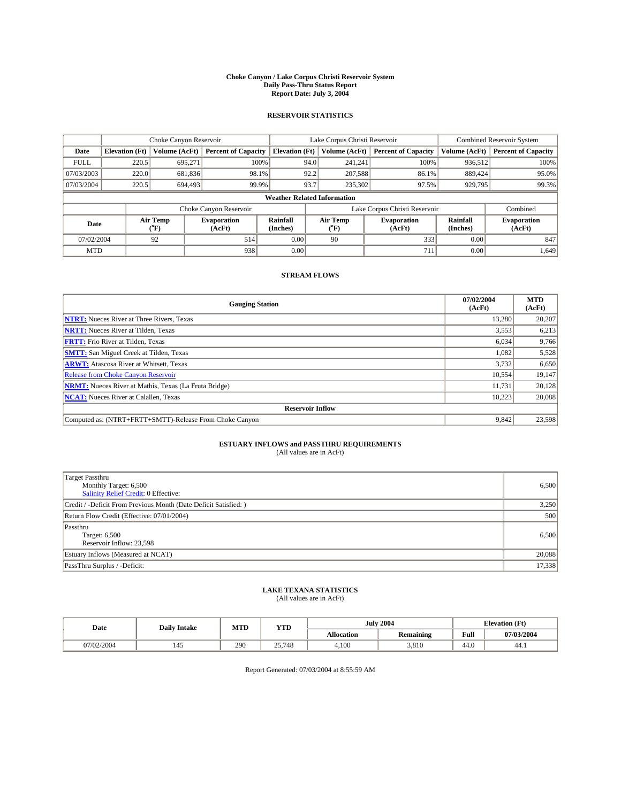#### **Choke Canyon / Lake Corpus Christi Reservoir System Daily Pass-Thru Status Report Report Date: July 3, 2004**

### **RESERVOIR STATISTICS**

|                                    | Choke Canyon Reservoir |                  | Lake Corpus Christi Reservoir |                       |      |                  | <b>Combined Reservoir System</b> |                      |                              |
|------------------------------------|------------------------|------------------|-------------------------------|-----------------------|------|------------------|----------------------------------|----------------------|------------------------------|
| Date                               | <b>Elevation</b> (Ft)  | Volume (AcFt)    | <b>Percent of Capacity</b>    | <b>Elevation (Ft)</b> |      | Volume (AcFt)    | <b>Percent of Capacity</b>       | Volume (AcFt)        | <b>Percent of Capacity</b>   |
| <b>FULL</b>                        | 220.5                  | 695,271          | 100%                          |                       | 94.0 | 241,241          | 100%                             | 936.512              | 100%                         |
| 07/03/2003                         | 220.0                  | 681.836          | 98.1%                         |                       | 92.2 | 207,588          | 86.1%                            | 889.424              | 95.0%                        |
| 07/03/2004                         | 220.5                  | 694,493          | 99.9%                         |                       | 93.7 | 235,302          | 97.5%                            | 929,795              | 99.3%                        |
| <b>Weather Related Information</b> |                        |                  |                               |                       |      |                  |                                  |                      |                              |
|                                    |                        |                  | Choke Canyon Reservoir        |                       |      |                  | Lake Corpus Christi Reservoir    |                      | Combined                     |
| Date                               |                        | Air Temp<br>(°F) | <b>Evaporation</b><br>(AcFt)  | Rainfall<br>(Inches)  |      | Air Temp<br>("F) | <b>Evaporation</b><br>(AcFt)     | Rainfall<br>(Inches) | <b>Evaporation</b><br>(AcFt) |
| 07/02/2004                         |                        | 92               | 514                           | 0.00                  |      | 90               | 333                              | 0.00                 | 847                          |
| <b>MTD</b>                         |                        |                  | 938                           | 0.00                  |      |                  | 711                              | 0.00                 | 1,649                        |

## **STREAM FLOWS**

| <b>Gauging Station</b>                                       | 07/02/2004<br>(AcFt) | <b>MTD</b><br>(AcFt) |  |  |  |  |
|--------------------------------------------------------------|----------------------|----------------------|--|--|--|--|
| <b>NTRT:</b> Nueces River at Three Rivers, Texas             | 13.280               | 20,207               |  |  |  |  |
| <b>NRTT:</b> Nueces River at Tilden, Texas                   | 3,553                | 6,213                |  |  |  |  |
| <b>FRTT:</b> Frio River at Tilden, Texas                     | 6.034                | 9,766                |  |  |  |  |
| <b>SMTT:</b> San Miguel Creek at Tilden, Texas               | 1,082                | 5,528                |  |  |  |  |
| <b>ARWT:</b> Atascosa River at Whitsett, Texas               | 3,732                | 6,650                |  |  |  |  |
| <b>Release from Choke Canyon Reservoir</b>                   | 10.554               | 19,147               |  |  |  |  |
| <b>NRMT:</b> Nueces River at Mathis, Texas (La Fruta Bridge) | 11.731               | 20,128               |  |  |  |  |
| <b>NCAT:</b> Nueces River at Calallen, Texas                 | 10,223               | 20,088               |  |  |  |  |
| <b>Reservoir Inflow</b>                                      |                      |                      |  |  |  |  |
| Computed as: (NTRT+FRTT+SMTT)-Release From Choke Canyon      | 9,842                | 23,598               |  |  |  |  |

## **ESTUARY INFLOWS and PASSTHRU REQUIREMENTS**<br>(All values are in AcFt)

| <b>Target Passthru</b><br>Monthly Target: 6,500<br>Salinity Relief Credit: 0 Effective: | 6,500  |
|-----------------------------------------------------------------------------------------|--------|
| Credit / -Deficit From Previous Month (Date Deficit Satisfied: )                        | 3,250  |
| Return Flow Credit (Effective: 07/01/2004)                                              | 500    |
| Passthru<br>Target: 6,500<br>Reservoir Inflow: 23,598                                   | 6,500  |
| Estuary Inflows (Measured at NCAT)                                                      | 20,088 |
| PassThru Surplus / -Deficit:                                                            | 17,338 |

## **LAKE TEXANA STATISTICS** (All values are in AcFt)

| Date       | <b>Daily Intake</b> | MTD | <b>YTD</b> |                   | <b>July 2004</b> | <b>Elevation</b> (Ft) |            |
|------------|---------------------|-----|------------|-------------------|------------------|-----------------------|------------|
|            |                     |     |            | <b>Allocation</b> | Remaining        | Full                  | 07/03/2004 |
| 07/02/2004 | 145                 | 290 | 25,748     | 4,100             | 3,810            | 44.0                  | 44.1       |

Report Generated: 07/03/2004 at 8:55:59 AM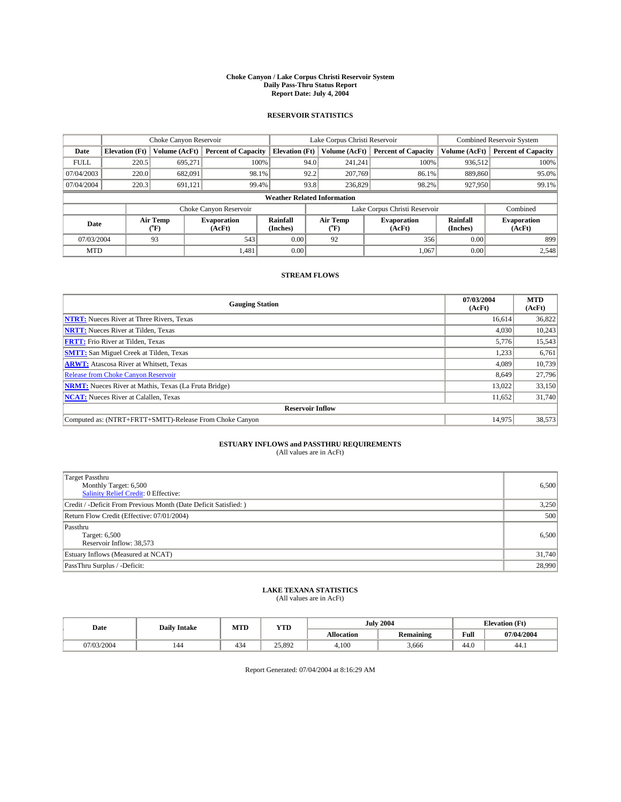#### **Choke Canyon / Lake Corpus Christi Reservoir System Daily Pass-Thru Status Report Report Date: July 4, 2004**

### **RESERVOIR STATISTICS**

|                                    | Choke Canyon Reservoir |                  | Lake Corpus Christi Reservoir |                       |      |                  | <b>Combined Reservoir System</b> |                      |                              |
|------------------------------------|------------------------|------------------|-------------------------------|-----------------------|------|------------------|----------------------------------|----------------------|------------------------------|
| Date                               | <b>Elevation</b> (Ft)  | Volume (AcFt)    | <b>Percent of Capacity</b>    | <b>Elevation (Ft)</b> |      | Volume (AcFt)    | <b>Percent of Capacity</b>       | Volume (AcFt)        | <b>Percent of Capacity</b>   |
| <b>FULL</b>                        | 220.5                  | 695,271          | 100%                          |                       | 94.0 | 241,241          | 100%                             | 936.512              | 100%                         |
| 07/04/2003                         | 220.0                  | 682.091          | 98.1%                         |                       | 92.2 | 207,769          | 86.1%                            | 889,860              | 95.0%                        |
| 07/04/2004                         | 220.3                  | 691,121          | 99.4%                         |                       | 93.8 | 236,829          | 98.2%                            | 927,950              | 99.1%                        |
| <b>Weather Related Information</b> |                        |                  |                               |                       |      |                  |                                  |                      |                              |
|                                    |                        |                  | Choke Canyon Reservoir        |                       |      |                  | Lake Corpus Christi Reservoir    |                      | Combined                     |
| Date                               |                        | Air Temp<br>(°F) | <b>Evaporation</b><br>(AcFt)  | Rainfall<br>(Inches)  |      | Air Temp<br>("F) | <b>Evaporation</b><br>(AcFt)     | Rainfall<br>(Inches) | <b>Evaporation</b><br>(AcFt) |
| 07/03/2004                         |                        | 93               | 543                           | 0.00                  |      | 92               | 356                              | 0.00                 | 899                          |
| <b>MTD</b>                         |                        |                  | 1,481                         | 0.00                  |      |                  | 1,067                            | 0.00                 | 2,548                        |

### **STREAM FLOWS**

| <b>Gauging Station</b>                                       | 07/03/2004<br>(AcFt) | <b>MTD</b><br>(AcFt) |
|--------------------------------------------------------------|----------------------|----------------------|
| <b>NTRT:</b> Nueces River at Three Rivers, Texas             | 16,614               | 36,822               |
| <b>NRTT:</b> Nueces River at Tilden, Texas                   | 4,030                | 10,243               |
| <b>FRTT:</b> Frio River at Tilden, Texas                     | 5,776                | 15,543               |
| <b>SMTT:</b> San Miguel Creek at Tilden, Texas               | 1,233                | 6,761                |
| <b>ARWT:</b> Atascosa River at Whitsett, Texas               | 4,089                | 10,739               |
| Release from Choke Canyon Reservoir                          | 8.649                | 27,796               |
| <b>NRMT:</b> Nueces River at Mathis, Texas (La Fruta Bridge) | 13.022               | 33,150               |
| <b>NCAT:</b> Nueces River at Calallen, Texas                 | 11,652               | 31,740               |
| <b>Reservoir Inflow</b>                                      |                      |                      |
| Computed as: (NTRT+FRTT+SMTT)-Release From Choke Canyon      | 14.975               | 38,573               |

## **ESTUARY INFLOWS and PASSTHRU REQUIREMENTS**

(All values are in AcFt)

| Target Passthru<br>Monthly Target: 6,500<br>Salinity Relief Credit: 0 Effective: | 6,500  |
|----------------------------------------------------------------------------------|--------|
| Credit / -Deficit From Previous Month (Date Deficit Satisfied: )                 | 3,250  |
| Return Flow Credit (Effective: 07/01/2004)                                       | 500    |
| Passthru<br>Target: 6,500<br>Reservoir Inflow: 38,573                            | 6,500  |
| Estuary Inflows (Measured at NCAT)                                               | 31,740 |
| PassThru Surplus / -Deficit:                                                     | 28,990 |

# **LAKE TEXANA STATISTICS** (All values are in AcFt)

| Date       | <b>Daily Intake</b> | MTD           | <b>YTD</b> |            | <b>July 2004</b> | <b>Elevation</b> (Ft) |            |
|------------|---------------------|---------------|------------|------------|------------------|-----------------------|------------|
|            |                     |               |            | Allocation | <b>Remaining</b> | Full                  | 07/04/2004 |
| 07/03/2004 | 144                 | $\sim$<br>434 | 25.892     | 4.100      | 3,666            | 44.0                  | 44.1       |

Report Generated: 07/04/2004 at 8:16:29 AM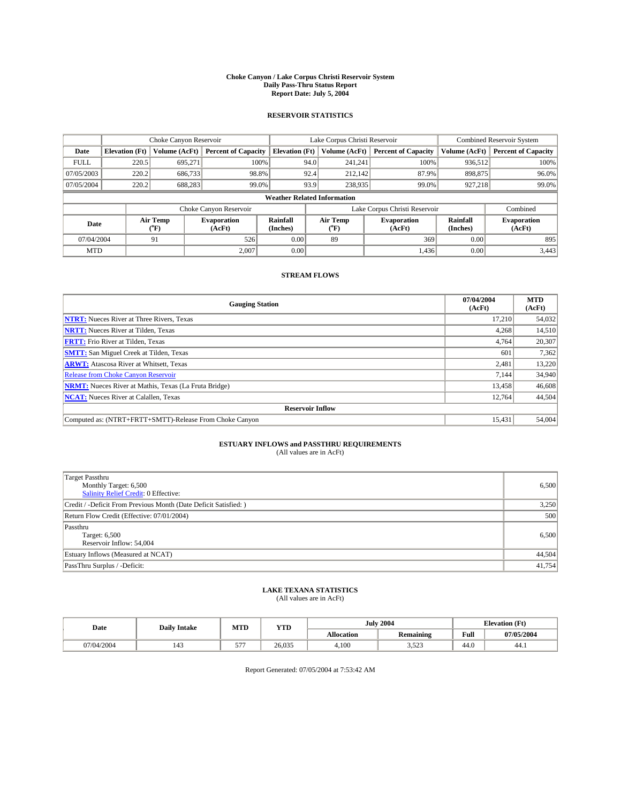#### **Choke Canyon / Lake Corpus Christi Reservoir System Daily Pass-Thru Status Report Report Date: July 5, 2004**

### **RESERVOIR STATISTICS**

|             | Choke Canyon Reservoir             |                  | Lake Corpus Christi Reservoir |                       |      |                  | <b>Combined Reservoir System</b> |                      |                              |  |
|-------------|------------------------------------|------------------|-------------------------------|-----------------------|------|------------------|----------------------------------|----------------------|------------------------------|--|
| Date        | <b>Elevation</b> (Ft)              | Volume (AcFt)    | <b>Percent of Capacity</b>    | <b>Elevation (Ft)</b> |      | Volume (AcFt)    | <b>Percent of Capacity</b>       | Volume (AcFt)        | <b>Percent of Capacity</b>   |  |
| <b>FULL</b> | 220.5                              | 695,271          | 100%                          |                       | 94.0 | 241,241          | 100%                             | 936.512              | 100%                         |  |
| 07/05/2003  | 220.2                              | 686,733          | 98.8%                         |                       | 92.4 | 212.142          | 87.9%                            | 898,875              | 96.0%                        |  |
| 07/05/2004  | 220.2                              | 688,283          | 99.0%                         |                       | 93.9 | 238,935          | 99.0%                            | 927,218              | 99.0%                        |  |
|             | <b>Weather Related Information</b> |                  |                               |                       |      |                  |                                  |                      |                              |  |
|             |                                    |                  | Choke Canyon Reservoir        |                       |      |                  | Lake Corpus Christi Reservoir    |                      | Combined                     |  |
| Date        |                                    | Air Temp<br>(°F) | <b>Evaporation</b><br>(AcFt)  | Rainfall<br>(Inches)  |      | Air Temp<br>("F) | <b>Evaporation</b><br>(AcFt)     | Rainfall<br>(Inches) | <b>Evaporation</b><br>(AcFt) |  |
| 07/04/2004  |                                    | 91               | 526                           | 0.00                  |      | 89               | 369                              | 0.00                 | 895                          |  |
| <b>MTD</b>  |                                    |                  | 2,007                         | 0.00                  |      |                  | 1,436                            | 0.00                 | 3,443                        |  |

## **STREAM FLOWS**

| <b>Gauging Station</b>                                       | 07/04/2004<br>(AcFt) | <b>MTD</b><br>(AcFt) |  |  |  |  |
|--------------------------------------------------------------|----------------------|----------------------|--|--|--|--|
| <b>NTRT:</b> Nueces River at Three Rivers, Texas             | 17,210               | 54,032               |  |  |  |  |
| <b>NRTT:</b> Nueces River at Tilden, Texas                   | 4.268                | 14,510               |  |  |  |  |
| <b>FRTT:</b> Frio River at Tilden, Texas                     | 4,764                | 20,307               |  |  |  |  |
| <b>SMTT:</b> San Miguel Creek at Tilden, Texas               | 601                  | 7,362                |  |  |  |  |
| <b>ARWT:</b> Atascosa River at Whitsett, Texas               | 2,481                | 13,220               |  |  |  |  |
| <b>Release from Choke Canyon Reservoir</b>                   | 7.144                | 34,940               |  |  |  |  |
| <b>NRMT:</b> Nueces River at Mathis, Texas (La Fruta Bridge) | 13,458               | 46,608               |  |  |  |  |
| <b>NCAT:</b> Nueces River at Calallen, Texas                 | 12,764               | 44,504               |  |  |  |  |
| <b>Reservoir Inflow</b>                                      |                      |                      |  |  |  |  |
| Computed as: (NTRT+FRTT+SMTT)-Release From Choke Canyon      | 15.431               | 54,004               |  |  |  |  |

## **ESTUARY INFLOWS and PASSTHRU REQUIREMENTS**<br>(All values are in AcFt)

| Target Passthru<br>Monthly Target: 6,500<br>Salinity Relief Credit: 0 Effective: | 6,500  |
|----------------------------------------------------------------------------------|--------|
| Credit / -Deficit From Previous Month (Date Deficit Satisfied: )                 | 3,250  |
| Return Flow Credit (Effective: 07/01/2004)                                       | 500    |
| Passthru<br>Target: 6,500<br>Reservoir Inflow: 54,004                            | 6,500  |
| Estuary Inflows (Measured at NCAT)                                               | 44,504 |
| PassThru Surplus / -Deficit:                                                     | 41,754 |

## **LAKE TEXANA STATISTICS** (All values are in AcFt)

| Date       | <b>Daily Intake</b> | MTD     | <b>YTD</b> | <b>July 2004</b>  |               | <b>Elevation</b> (Ft) |            |
|------------|---------------------|---------|------------|-------------------|---------------|-----------------------|------------|
|            |                     |         |            | <b>Allocation</b> | Remaining     | Full                  | 07/05/2004 |
| 07/04/2004 | 143                 | $- - -$ | 26,035     | 4,100             | 52<br>ر ے ر.ر | 44.0                  | 44.1       |

Report Generated: 07/05/2004 at 7:53:42 AM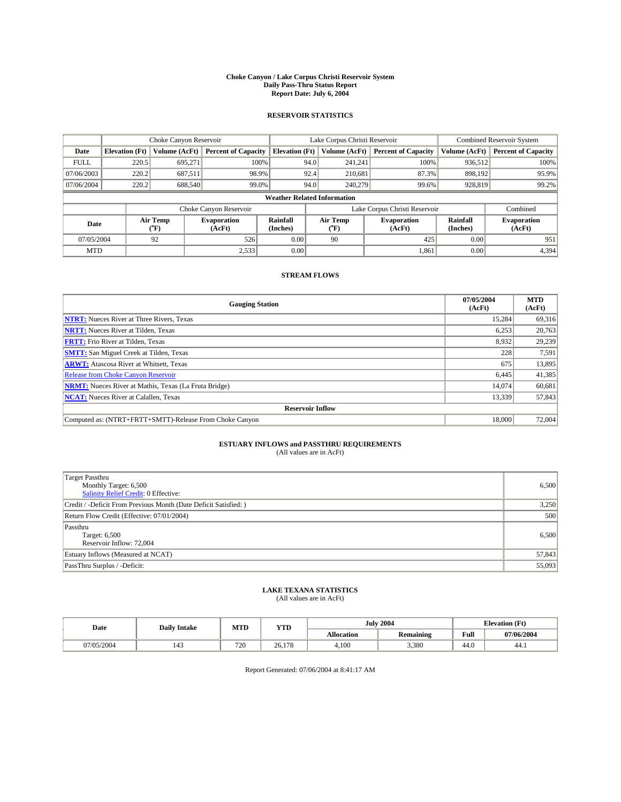#### **Choke Canyon / Lake Corpus Christi Reservoir System Daily Pass-Thru Status Report Report Date: July 6, 2004**

### **RESERVOIR STATISTICS**

|                                    | Choke Canyon Reservoir |                  | Lake Corpus Christi Reservoir |                       |      |                  | <b>Combined Reservoir System</b> |                      |                              |
|------------------------------------|------------------------|------------------|-------------------------------|-----------------------|------|------------------|----------------------------------|----------------------|------------------------------|
| Date                               | <b>Elevation</b> (Ft)  | Volume (AcFt)    | <b>Percent of Capacity</b>    | <b>Elevation (Ft)</b> |      | Volume (AcFt)    | <b>Percent of Capacity</b>       | Volume (AcFt)        | <b>Percent of Capacity</b>   |
| <b>FULL</b>                        | 220.5                  | 695,271          | 100%                          |                       | 94.0 | 241,241          | 100%                             | 936.512              | 100%                         |
| 07/06/2003                         | 220.2                  | 687.511          | 98.9%                         |                       | 92.4 | 210.681          | 87.3%                            | 898,192              | 95.9%                        |
| 07/06/2004                         | 220.2                  | 688,540          | 99.0%                         |                       | 94.0 | 240,279          | 99.6%                            | 928,819              | 99.2%                        |
| <b>Weather Related Information</b> |                        |                  |                               |                       |      |                  |                                  |                      |                              |
|                                    |                        |                  | Choke Canyon Reservoir        |                       |      |                  | Lake Corpus Christi Reservoir    |                      | Combined                     |
| Date                               |                        | Air Temp<br>(°F) | <b>Evaporation</b><br>(AcFt)  | Rainfall<br>(Inches)  |      | Air Temp<br>("F) | <b>Evaporation</b><br>(AcFt)     | Rainfall<br>(Inches) | <b>Evaporation</b><br>(AcFt) |
| 07/05/2004                         |                        | 92               | 526                           | 0.00                  |      | 90               | 425                              | 0.00                 | 951                          |
| <b>MTD</b>                         |                        |                  | 2,533                         | 0.00                  |      |                  | 1,861                            | 0.00                 | 4,394                        |

## **STREAM FLOWS**

| <b>Gauging Station</b>                                       | 07/05/2004<br>(AcFt) | <b>MTD</b><br>(AcFt) |
|--------------------------------------------------------------|----------------------|----------------------|
| <b>NTRT:</b> Nueces River at Three Rivers, Texas             | 15.284               | 69,316               |
| <b>NRTT:</b> Nueces River at Tilden, Texas                   | 6.253                | 20,763               |
| <b>FRTT:</b> Frio River at Tilden, Texas                     | 8.932                | 29,239               |
| <b>SMTT:</b> San Miguel Creek at Tilden, Texas               | 228                  | 7,591                |
| <b>ARWT:</b> Atascosa River at Whitsett, Texas               | 675                  | 13,895               |
| <b>Release from Choke Canyon Reservoir</b>                   | 6,445                | 41,385               |
| <b>NRMT:</b> Nueces River at Mathis, Texas (La Fruta Bridge) | 14.074               | 60,681               |
| <b>NCAT:</b> Nueces River at Calallen, Texas                 | 13,339               | 57,843               |
| <b>Reservoir Inflow</b>                                      |                      |                      |
| Computed as: (NTRT+FRTT+SMTT)-Release From Choke Canyon      | 18,000               | 72,004               |

## **ESTUARY INFLOWS and PASSTHRU REQUIREMENTS**<br>(All values are in AcFt)

| <b>Target Passthru</b><br>Monthly Target: 6,500<br>Salinity Relief Credit: 0 Effective: | 6,500  |
|-----------------------------------------------------------------------------------------|--------|
| Credit / -Deficit From Previous Month (Date Deficit Satisfied: )                        | 3,250  |
| Return Flow Credit (Effective: 07/01/2004)                                              | 500    |
| Passthru<br>Target: 6,500<br>Reservoir Inflow: 72,004                                   | 6,500  |
| Estuary Inflows (Measured at NCAT)                                                      | 57,843 |
| PassThru Surplus / -Deficit:                                                            | 55,093 |

## **LAKE TEXANA STATISTICS** (All values are in AcFt)

| Date       | <b>Daily Intake</b> | MTD | <b>YTD</b> |                   | <b>July 2004</b> | <b>Elevation</b> (Ft) |            |
|------------|---------------------|-----|------------|-------------------|------------------|-----------------------|------------|
|            |                     |     |            | <b>Allocation</b> | <b>Remaining</b> | Full                  | 07/06/2004 |
| 07/05/2004 | 143                 | 720 | 26.178     | 4.100             | 3.380            | 44.0                  | 44.1       |

Report Generated: 07/06/2004 at 8:41:17 AM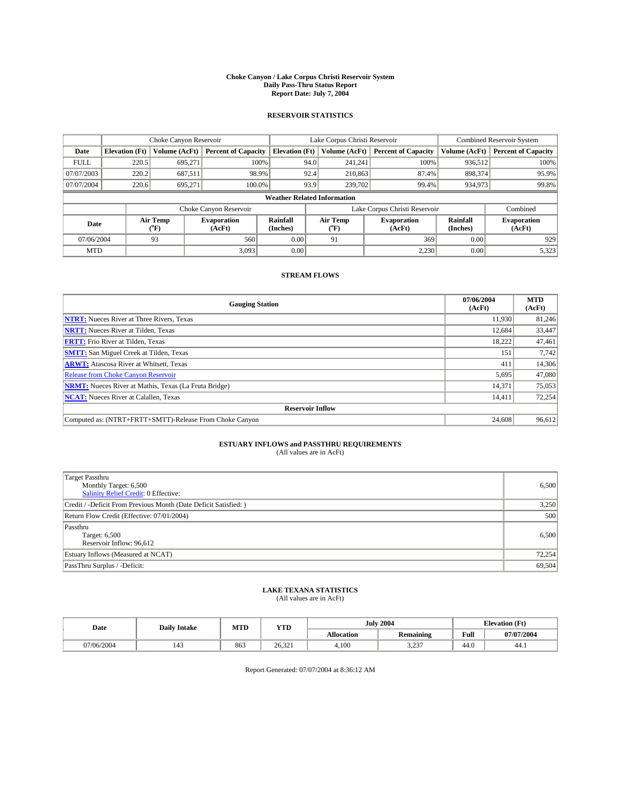#### **Choke Canyon / Lake Corpus Christi Reservoir System Daily Pass-Thru Status Report Report Date: July 7, 2004**

### **RESERVOIR STATISTICS**

|                                    | Choke Canyon Reservoir |                  |                              |                       | Lake Corpus Christi Reservoir |                  |                               |                      | <b>Combined Reservoir System</b> |  |  |
|------------------------------------|------------------------|------------------|------------------------------|-----------------------|-------------------------------|------------------|-------------------------------|----------------------|----------------------------------|--|--|
| Date                               | <b>Elevation</b> (Ft)  | Volume (AcFt)    | <b>Percent of Capacity</b>   | <b>Elevation (Ft)</b> |                               | Volume (AcFt)    | <b>Percent of Capacity</b>    | Volume (AcFt)        | <b>Percent of Capacity</b>       |  |  |
| <b>FULL</b>                        | 220.5                  | 695,271          |                              | 100%                  | 94.0                          | 241,241          | 100%                          | 936.512              | 100%                             |  |  |
| 07/07/2003                         | 220.2                  | 687.511          | 98.9%                        |                       | 92.4                          | 210,863          | 87.4%                         | 898,374              | 95.9%                            |  |  |
| 07/07/2004                         | 220.6                  | 695.271          | 100.0%                       |                       | 93.9                          | 239,702          | 99.4%                         | 934,973              | 99.8%                            |  |  |
| <b>Weather Related Information</b> |                        |                  |                              |                       |                               |                  |                               |                      |                                  |  |  |
|                                    |                        |                  | Choke Canyon Reservoir       |                       |                               |                  | Lake Corpus Christi Reservoir |                      | Combined                         |  |  |
| Date                               |                        | Air Temp<br>(°F) | <b>Evaporation</b><br>(AcFt) | Rainfall<br>(Inches)  |                               | Air Temp<br>("F) | <b>Evaporation</b><br>(AcFt)  | Rainfall<br>(Inches) | <b>Evaporation</b><br>(AcFt)     |  |  |
| 07/06/2004                         |                        | 93               | 560                          | 0.00                  |                               | 91               | 369                           | 0.00                 | 929                              |  |  |
| <b>MTD</b>                         |                        |                  | 3,093                        | 0.00                  |                               |                  | 2,230                         | 0.00                 | 5,323                            |  |  |

## **STREAM FLOWS**

| <b>Gauging Station</b>                                       | 07/06/2004<br>(AcFt) | <b>MTD</b><br>(AcFt) |
|--------------------------------------------------------------|----------------------|----------------------|
| <b>NTRT:</b> Nueces River at Three Rivers, Texas             | 11.930               | 81,246               |
| <b>NRTT:</b> Nueces River at Tilden, Texas                   | 12.684               | 33,447               |
| <b>FRTT:</b> Frio River at Tilden, Texas                     | 18.222               | 47,461               |
| <b>SMTT:</b> San Miguel Creek at Tilden, Texas               | 151                  | 7,742                |
| <b>ARWT:</b> Atascosa River at Whitsett, Texas               | 411                  | 14,306               |
| <b>Release from Choke Canyon Reservoir</b>                   | 5,695                | 47,080               |
| <b>NRMT:</b> Nueces River at Mathis, Texas (La Fruta Bridge) | 14,371               | 75,053               |
| <b>NCAT:</b> Nueces River at Calallen, Texas                 | 14,411               | 72,254               |
| <b>Reservoir Inflow</b>                                      |                      |                      |
| Computed as: (NTRT+FRTT+SMTT)-Release From Choke Canyon      | 24,608               | 96,612               |

## **ESTUARY INFLOWS and PASSTHRU REQUIREMENTS**

(All values are in AcFt)

| <b>Target Passthru</b><br>Monthly Target: 6,500<br>Salinity Relief Credit: 0 Effective: | 6,500  |
|-----------------------------------------------------------------------------------------|--------|
| Credit / -Deficit From Previous Month (Date Deficit Satisfied: )                        | 3,250  |
| Return Flow Credit (Effective: 07/01/2004)                                              | 500    |
| Passthru<br>Target: 6,500<br>Reservoir Inflow: 96,612                                   | 6,500  |
| Estuary Inflows (Measured at NCAT)                                                      | 72,254 |
| PassThru Surplus / -Deficit:                                                            | 69,504 |

# **LAKE TEXANA STATISTICS** (All values are in AcFt)

| Date       | <b>Daily Intake</b> | <b>MTD</b> | <b>YTD</b> | <b>July 2004</b> |                  |      | <b>Elevation</b> (Ft) |
|------------|---------------------|------------|------------|------------------|------------------|------|-----------------------|
|            |                     |            |            | Allocation       | <b>Remaining</b> | Full | 07/07/2004            |
| 07/06/2004 | 143                 | 863        | 26,321     | 4,100            | 3,237            | 44.0 | 44.1                  |

Report Generated: 07/07/2004 at 8:36:12 AM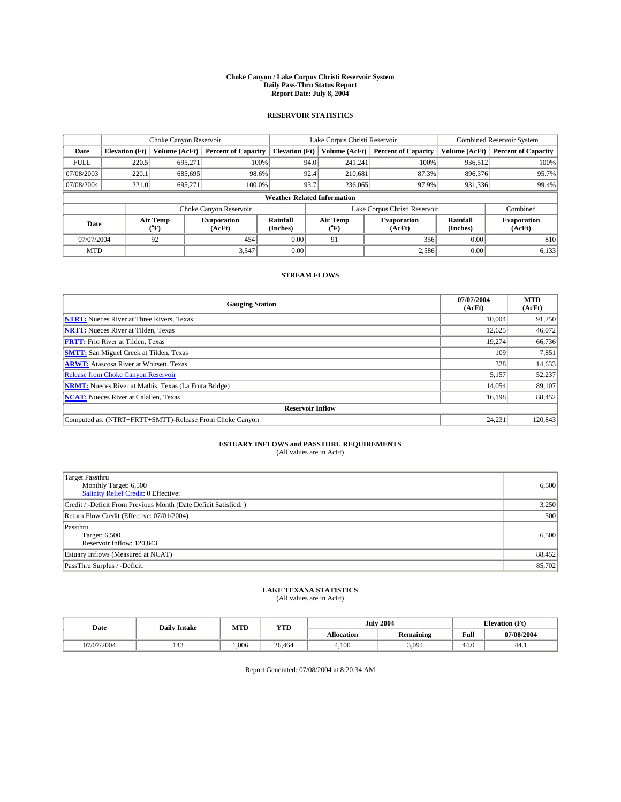#### **Choke Canyon / Lake Corpus Christi Reservoir System Daily Pass-Thru Status Report Report Date: July 8, 2004**

### **RESERVOIR STATISTICS**

|                                    | Choke Canyon Reservoir |                             |                              |                             | Lake Corpus Christi Reservoir |                  |                               | <b>Combined Reservoir System</b> |                              |
|------------------------------------|------------------------|-----------------------------|------------------------------|-----------------------------|-------------------------------|------------------|-------------------------------|----------------------------------|------------------------------|
| Date                               | <b>Elevation</b> (Ft)  | Volume (AcFt)               | <b>Percent of Capacity</b>   | <b>Elevation</b> (Ft)       |                               | Volume (AcFt)    | <b>Percent of Capacity</b>    | Volume (AcFt)                    | <b>Percent of Capacity</b>   |
| <b>FULL</b>                        | 220.5                  | 695,271                     |                              | 100%                        | 94.0                          | 241,241          | 100%                          | 936.512                          | 100%                         |
| 07/08/2003                         | 220.1                  | 685.695                     |                              | 98.6%                       | 92.4                          | 210.681          | 87.3%                         | 896,376                          | 95.7%                        |
| 07/08/2004                         | 221.0                  | 695.271                     | 100.0%                       |                             | 93.7                          | 236,065          | 97.9%                         | 931,336                          | 99.4%                        |
| <b>Weather Related Information</b> |                        |                             |                              |                             |                               |                  |                               |                                  |                              |
|                                    |                        |                             | Choke Canyon Reservoir       |                             |                               |                  | Lake Corpus Christi Reservoir |                                  | Combined                     |
| Date                               |                        | Air Temp<br>${}^{\circ}$ F) | <b>Evaporation</b><br>(AcFt) | <b>Rainfall</b><br>(Inches) |                               | Air Temp<br>("F) | <b>Evaporation</b><br>(AcFt)  | Rainfall<br>(Inches)             | <b>Evaporation</b><br>(AcFt) |
| 07/07/2004                         |                        | 92                          | 454                          | 0.00                        |                               | 91               | 356                           | 0.00                             | 810                          |
| <b>MTD</b>                         |                        |                             | 3,547                        | 0.00                        |                               |                  | 2,586                         | 0.00                             | 6,133                        |

## **STREAM FLOWS**

| <b>Gauging Station</b>                                       | 07/07/2004<br>(AcFt) | <b>MTD</b><br>(AcFt) |
|--------------------------------------------------------------|----------------------|----------------------|
| <b>NTRT:</b> Nueces River at Three Rivers, Texas             | 10.004               | 91,250               |
| <b>NRTT:</b> Nueces River at Tilden, Texas                   | 12.625               | 46,072               |
| <b>FRTT:</b> Frio River at Tilden, Texas                     | 19.274               | 66,736               |
| <b>SMTT:</b> San Miguel Creek at Tilden, Texas               | 109                  | 7,851                |
| <b>ARWT:</b> Atascosa River at Whitsett, Texas               | 328                  | 14,633               |
| <b>Release from Choke Canyon Reservoir</b>                   | 5,157                | 52,237               |
| <b>NRMT:</b> Nueces River at Mathis, Texas (La Fruta Bridge) | 14.054               | 89,107               |
| <b>NCAT:</b> Nueces River at Calallen, Texas                 | 16,198               | 88,452               |
| <b>Reservoir Inflow</b>                                      |                      |                      |
| Computed as: (NTRT+FRTT+SMTT)-Release From Choke Canyon      | 24.231               | 120,843              |

## **ESTUARY INFLOWS and PASSTHRU REQUIREMENTS**<br>(All values are in AcFt)

| Target Passthru<br>Monthly Target: 6,500<br>Salinity Relief Credit: 0 Effective: | 6,500  |
|----------------------------------------------------------------------------------|--------|
| Credit / -Deficit From Previous Month (Date Deficit Satisfied: )                 | 3,250  |
| Return Flow Credit (Effective: 07/01/2004)                                       | 500    |
| Passthru<br>Target: 6,500<br>Reservoir Inflow: 120,843                           | 6,500  |
| Estuary Inflows (Measured at NCAT)                                               | 88,452 |
| PassThru Surplus / -Deficit:                                                     | 85,702 |

## **LAKE TEXANA STATISTICS** (All values are in AcFt)

| Date     | <b>Daily Intake</b> | MTD  | <b>YTD</b> |                   | <b>July 2004</b> | <b>Elevation</b> (Ft) |            |
|----------|---------------------|------|------------|-------------------|------------------|-----------------------|------------|
|          |                     |      |            | <b>Allocation</b> | <b>Remaining</b> | Full                  | 07/08/2004 |
| /07/2004 | 143                 | .006 | 26.464     | 4,100             | 3,094            | $\sim$<br>44.U        | 44.1       |

Report Generated: 07/08/2004 at 8:20:34 AM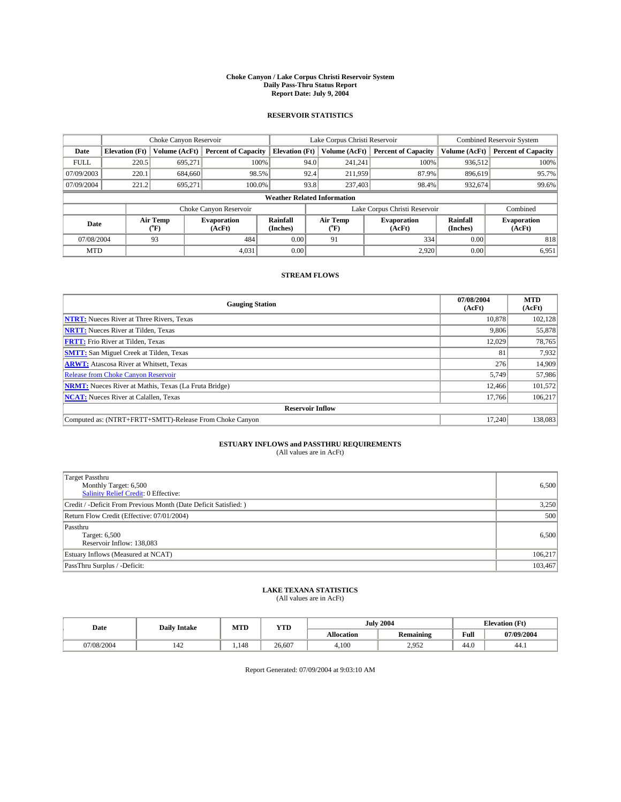#### **Choke Canyon / Lake Corpus Christi Reservoir System Daily Pass-Thru Status Report Report Date: July 9, 2004**

### **RESERVOIR STATISTICS**

|                                    | Choke Canyon Reservoir |                             |                              |                             | Lake Corpus Christi Reservoir |                  |                               |                      | <b>Combined Reservoir System</b> |  |  |
|------------------------------------|------------------------|-----------------------------|------------------------------|-----------------------------|-------------------------------|------------------|-------------------------------|----------------------|----------------------------------|--|--|
| Date                               | <b>Elevation</b> (Ft)  | Volume (AcFt)               | <b>Percent of Capacity</b>   | <b>Elevation</b> (Ft)       |                               | Volume (AcFt)    | <b>Percent of Capacity</b>    | Volume (AcFt)        | <b>Percent of Capacity</b>       |  |  |
| <b>FULL</b>                        | 220.5                  | 695,271                     |                              | 100%                        | 94.0                          | 241,241          | 100%                          | 936.512              | 100%                             |  |  |
| 07/09/2003                         | 220.1                  | 684,660                     |                              | 98.5%                       | 92.4                          | 211.959          | 87.9%                         | 896.619              | 95.7%                            |  |  |
| 07/09/2004                         | 221.2                  | 695.271                     | 100.0%                       |                             | 93.8                          | 237,403          | 98.4%                         | 932,674              | 99.6%                            |  |  |
| <b>Weather Related Information</b> |                        |                             |                              |                             |                               |                  |                               |                      |                                  |  |  |
|                                    |                        |                             | Choke Canyon Reservoir       |                             |                               |                  | Lake Corpus Christi Reservoir |                      | Combined                         |  |  |
| Date                               |                        | Air Temp<br>${}^{\circ}$ F) | <b>Evaporation</b><br>(AcFt) | <b>Rainfall</b><br>(Inches) |                               | Air Temp<br>("F) | <b>Evaporation</b><br>(AcFt)  | Rainfall<br>(Inches) | <b>Evaporation</b><br>(AcFt)     |  |  |
| 07/08/2004                         |                        | 93                          | 484                          | 0.00                        |                               | 91               | 334                           | 0.00                 | 818                              |  |  |
| <b>MTD</b>                         |                        |                             | 4,031                        | 0.00                        |                               |                  | 2,920                         | 0.00                 | 6,951                            |  |  |

## **STREAM FLOWS**

| <b>Gauging Station</b>                                       | 07/08/2004<br>(AcFt) | <b>MTD</b><br>(AcFt) |
|--------------------------------------------------------------|----------------------|----------------------|
| <b>NTRT:</b> Nueces River at Three Rivers, Texas             | 10.878               | 102,128              |
| <b>NRTT:</b> Nueces River at Tilden, Texas                   | 9,806                | 55,878               |
| <b>FRTT:</b> Frio River at Tilden, Texas                     | 12,029               | 78,765               |
| <b>SMTT:</b> San Miguel Creek at Tilden, Texas               | 81                   | 7,932                |
| <b>ARWT:</b> Atascosa River at Whitsett, Texas               | 276                  | 14,909               |
| Release from Choke Canyon Reservoir                          | 5.749                | 57,986               |
| <b>NRMT:</b> Nueces River at Mathis, Texas (La Fruta Bridge) | 12.466               | 101,572              |
| <b>NCAT:</b> Nueces River at Calallen, Texas                 | 17,766               | 106,217              |
| <b>Reservoir Inflow</b>                                      |                      |                      |
| Computed as: (NTRT+FRTT+SMTT)-Release From Choke Canyon      | 17.240               | 138,083              |

## **ESTUARY INFLOWS and PASSTHRU REQUIREMENTS**<br>(All values are in AcFt)

| <b>Target Passthru</b><br>Monthly Target: 6,500<br>Salinity Relief Credit: 0 Effective: | 6,500   |
|-----------------------------------------------------------------------------------------|---------|
| Credit / -Deficit From Previous Month (Date Deficit Satisfied: )                        | 3,250   |
| Return Flow Credit (Effective: 07/01/2004)                                              | 500     |
| Passthru<br>Target: 6,500<br>Reservoir Inflow: 138,083                                  | 6,500   |
| Estuary Inflows (Measured at NCAT)                                                      | 106,217 |
| PassThru Surplus / -Deficit:                                                            | 103,467 |

## **LAKE TEXANA STATISTICS** (All values are in AcFt)

| Date       | <b>Daily Intake</b> | MTD  | <b>YTD</b> |                   | <b>July 2004</b>     | <b>Elevation</b> (Ft) |            |  |
|------------|---------------------|------|------------|-------------------|----------------------|-----------------------|------------|--|
|            |                     |      |            | <b>Allocation</b> | Remaining            | Full                  | 07/09/2004 |  |
| 07/08/2004 | $\Lambda$<br>142    | .148 | 26.607     | 4,100             | $2.95^\circ$<br>ムココム | 44.0                  | 44.1       |  |

Report Generated: 07/09/2004 at 9:03:10 AM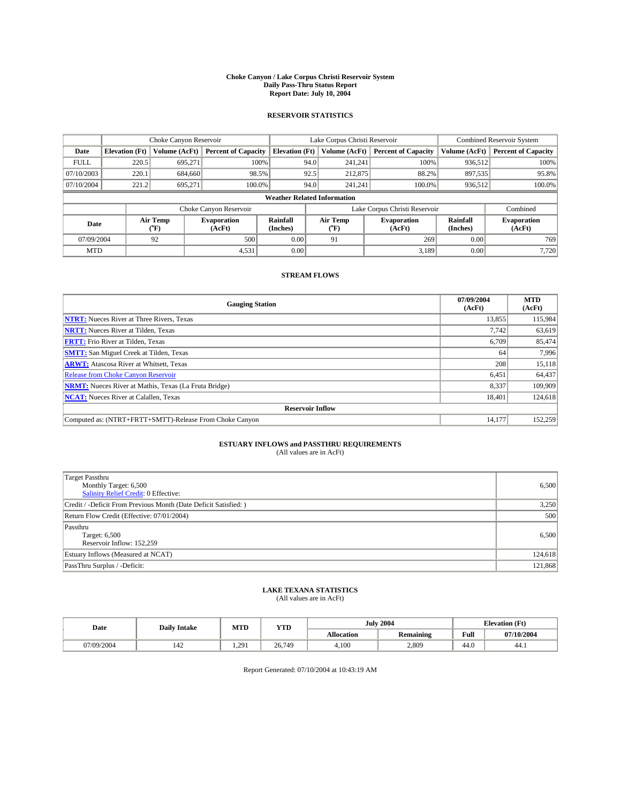#### **Choke Canyon / Lake Corpus Christi Reservoir System Daily Pass-Thru Status Report Report Date: July 10, 2004**

### **RESERVOIR STATISTICS**

|             | Choke Canyon Reservoir             |                             | Lake Corpus Christi Reservoir |                             |                               |                  | <b>Combined Reservoir System</b> |                             |                              |  |
|-------------|------------------------------------|-----------------------------|-------------------------------|-----------------------------|-------------------------------|------------------|----------------------------------|-----------------------------|------------------------------|--|
| Date        | <b>Elevation</b> (Ft)              | Volume (AcFt)               | <b>Percent of Capacity</b>    | <b>Elevation</b> (Ft)       |                               | Volume (AcFt)    | <b>Percent of Capacity</b>       | Volume (AcFt)               | <b>Percent of Capacity</b>   |  |
| <b>FULL</b> | 220.5                              | 695,271                     | 100%                          |                             | 94.0                          | 241,241          | 100%                             | 936.512                     | 100%                         |  |
| 07/10/2003  | 220.1                              | 684,660                     | 98.5%                         |                             | 92.5                          | 212,875          | 88.2%                            | 897,535                     | 95.8%                        |  |
| 07/10/2004  | 221.2                              | 695.271                     | 100.0%                        |                             | 94.0                          | 241.241          | $100.0\%$                        | 936,512                     | 100.0%                       |  |
|             | <b>Weather Related Information</b> |                             |                               |                             |                               |                  |                                  |                             |                              |  |
|             |                                    |                             | Choke Canyon Reservoir        |                             | Lake Corpus Christi Reservoir |                  |                                  | Combined                    |                              |  |
| Date        |                                    | Air Temp<br>${}^{\circ}$ F) | <b>Evaporation</b><br>(AcFt)  | <b>Rainfall</b><br>(Inches) |                               | Air Temp<br>("F) | <b>Evaporation</b><br>(AcFt)     | <b>Rainfall</b><br>(Inches) | <b>Evaporation</b><br>(AcFt) |  |
| 07/09/2004  |                                    | 92                          | 500                           | 0.00                        |                               | 91               | 269                              | 0.00                        | 769                          |  |
| <b>MTD</b>  |                                    |                             | 4,531                         | 0.00                        |                               |                  | 3,189                            | 0.00                        | 7,720                        |  |

## **STREAM FLOWS**

| <b>Gauging Station</b>                                       | 07/09/2004<br>(AcFt) | <b>MTD</b><br>(AcFt) |  |  |  |  |
|--------------------------------------------------------------|----------------------|----------------------|--|--|--|--|
| <b>NTRT:</b> Nueces River at Three Rivers, Texas             | 13.855               | 115,984              |  |  |  |  |
| <b>NRTT:</b> Nueces River at Tilden, Texas                   | 7.742                | 63,619               |  |  |  |  |
| <b>FRTT:</b> Frio River at Tilden, Texas                     | 6.709                | 85,474               |  |  |  |  |
| <b>SMTT:</b> San Miguel Creek at Tilden, Texas               | 64                   | 7.996                |  |  |  |  |
| <b>ARWT:</b> Atascosa River at Whitsett, Texas               | 208                  | 15,118               |  |  |  |  |
| <b>Release from Choke Canyon Reservoir</b>                   | 6,451                | 64,437               |  |  |  |  |
| <b>NRMT:</b> Nueces River at Mathis, Texas (La Fruta Bridge) | 8,337                | 109,909              |  |  |  |  |
| <b>NCAT:</b> Nueces River at Calallen, Texas                 | 18,401               | 124,618              |  |  |  |  |
| <b>Reservoir Inflow</b>                                      |                      |                      |  |  |  |  |
| Computed as: (NTRT+FRTT+SMTT)-Release From Choke Canyon      | 14.177               | 152,259              |  |  |  |  |

## **ESTUARY INFLOWS and PASSTHRU REQUIREMENTS**<br>(All values are in AcFt)

| Target Passthru<br>Monthly Target: 6,500<br>Salinity Relief Credit: 0 Effective: | 6,500   |
|----------------------------------------------------------------------------------|---------|
| Credit / -Deficit From Previous Month (Date Deficit Satisfied: )                 | 3,250   |
| Return Flow Credit (Effective: 07/01/2004)                                       | 500     |
| Passthru<br>Target: 6,500<br>Reservoir Inflow: 152,259                           | 6,500   |
| Estuary Inflows (Measured at NCAT)                                               | 124,618 |
| PassThru Surplus / -Deficit:                                                     | 121,868 |

## **LAKE TEXANA STATISTICS** (All values are in AcFt)

| Date       | <b>Daily Intake</b> | MTD   | <b>YTD</b> |                   | <b>July 2004</b> | <b>Elevation</b> (Ft) |            |
|------------|---------------------|-------|------------|-------------------|------------------|-----------------------|------------|
|            |                     |       |            | <b>Allocation</b> | Remaining        | Full                  | 07/10/2004 |
| 07/09/2004 | 142                 | 1.291 | 26.749     | 4,100             | 2,809            | 44.0                  | 44.1       |

Report Generated: 07/10/2004 at 10:43:19 AM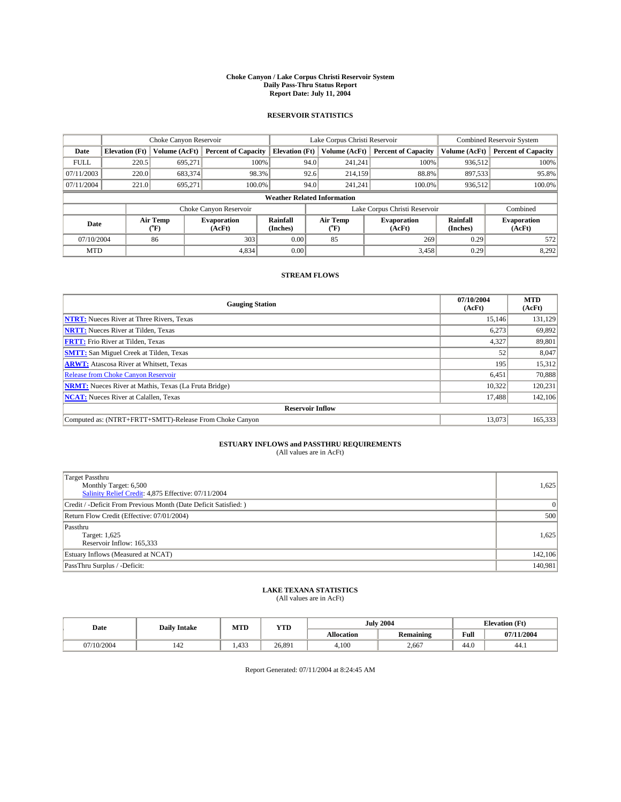#### **Choke Canyon / Lake Corpus Christi Reservoir System Daily Pass-Thru Status Report Report Date: July 11, 2004**

### **RESERVOIR STATISTICS**

|                                    | Choke Canyon Reservoir |                             | Lake Corpus Christi Reservoir |                             |                               |                  | <b>Combined Reservoir System</b> |                      |                              |
|------------------------------------|------------------------|-----------------------------|-------------------------------|-----------------------------|-------------------------------|------------------|----------------------------------|----------------------|------------------------------|
| Date                               | <b>Elevation</b> (Ft)  | Volume (AcFt)               | <b>Percent of Capacity</b>    | <b>Elevation</b> (Ft)       |                               | Volume (AcFt)    | <b>Percent of Capacity</b>       | Volume (AcFt)        | <b>Percent of Capacity</b>   |
| <b>FULL</b>                        | 220.5                  | 695,271                     |                               | 100%                        | 94.0                          | 241,241          | 100%                             | 936.512              | 100%                         |
| 07/11/2003                         | 220.0                  | 683,374                     | 98.3%                         |                             | 92.6                          | 214,159          | 88.8%                            | 897,533              | 95.8%                        |
| 07/11/2004                         | 221.0                  | 695.271                     | 100.0%                        |                             | 94.0                          | 241.241          | $100.0\%$                        | 936,512              | 100.0%                       |
| <b>Weather Related Information</b> |                        |                             |                               |                             |                               |                  |                                  |                      |                              |
|                                    |                        |                             | Choke Canyon Reservoir        |                             | Lake Corpus Christi Reservoir |                  |                                  |                      | Combined                     |
| Date                               |                        | Air Temp<br>${}^{\circ}$ F) | <b>Evaporation</b><br>(AcFt)  | <b>Rainfall</b><br>(Inches) |                               | Air Temp<br>("F) | <b>Evaporation</b><br>(AcFt)     | Rainfall<br>(Inches) | <b>Evaporation</b><br>(AcFt) |
| 07/10/2004                         |                        | 86                          | 303                           | 0.00                        |                               | 85               | 269                              | 0.29                 | 572                          |
| <b>MTD</b>                         |                        |                             | 4,834                         | 0.00                        |                               |                  | 3,458                            | 0.29                 | 8,292                        |

## **STREAM FLOWS**

| <b>Gauging Station</b>                                       | 07/10/2004<br>(AcFt) | <b>MTD</b><br>(AcFt) |  |  |  |  |
|--------------------------------------------------------------|----------------------|----------------------|--|--|--|--|
| <b>NTRT:</b> Nueces River at Three Rivers, Texas             | 15.146               | 131.129              |  |  |  |  |
| <b>NRTT:</b> Nueces River at Tilden, Texas                   | 6,273                | 69,892               |  |  |  |  |
| <b>FRTT:</b> Frio River at Tilden, Texas                     | 4,327                | 89,801               |  |  |  |  |
| <b>SMTT:</b> San Miguel Creek at Tilden, Texas               | 52                   | 8,047                |  |  |  |  |
| <b>ARWT:</b> Atascosa River at Whitsett, Texas               | 195                  | 15,312               |  |  |  |  |
| Release from Choke Canyon Reservoir                          | 6,451                | 70,888               |  |  |  |  |
| <b>NRMT:</b> Nueces River at Mathis, Texas (La Fruta Bridge) | 10.322               | 120,231              |  |  |  |  |
| <b>NCAT:</b> Nueces River at Calallen, Texas                 | 17,488               | 142,106              |  |  |  |  |
| <b>Reservoir Inflow</b>                                      |                      |                      |  |  |  |  |
| Computed as: (NTRT+FRTT+SMTT)-Release From Choke Canyon      | 13.073               | 165,333              |  |  |  |  |

## **ESTUARY INFLOWS and PASSTHRU REQUIREMENTS**<br>(All values are in AcFt)

| Target Passthru<br>Monthly Target: 6,500<br>Salinity Relief Credit: 4,875 Effective: 07/11/2004 | 1,625   |
|-------------------------------------------------------------------------------------------------|---------|
| Credit / -Deficit From Previous Month (Date Deficit Satisfied: )                                | 0       |
| Return Flow Credit (Effective: 07/01/2004)                                                      | 500     |
| Passthru<br>Target: 1,625<br>Reservoir Inflow: 165,333                                          | 1,625   |
| Estuary Inflows (Measured at NCAT)                                                              | 142,106 |
| PassThru Surplus / -Deficit:                                                                    | 140,981 |

## **LAKE TEXANA STATISTICS** (All values are in AcFt)

| Date      | <b>Daily Intake</b> | MTD   | <b>YTD</b> |                   | <b>July 2004</b> | <b>Elevation</b> (Ft) |            |
|-----------|---------------------|-------|------------|-------------------|------------------|-----------------------|------------|
|           |                     |       |            | <b>Allocation</b> | Remaining        | Full                  | 07/11/2004 |
| //10/2004 | 142                 | 1.433 | 26,891     | 4,100             | 2,667            | $\sim$<br>44.U        | 44.1       |

Report Generated: 07/11/2004 at 8:24:45 AM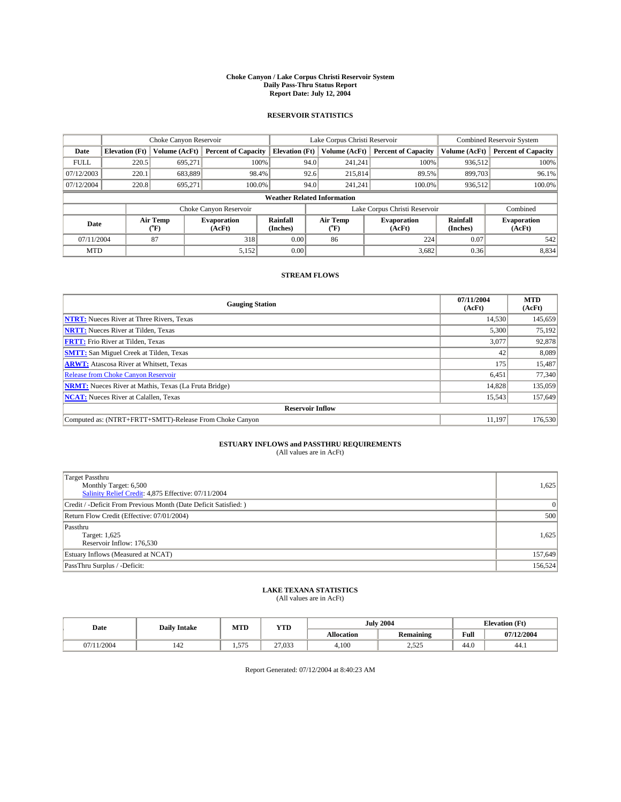#### **Choke Canyon / Lake Corpus Christi Reservoir System Daily Pass-Thru Status Report Report Date: July 12, 2004**

### **RESERVOIR STATISTICS**

|             | Choke Canyon Reservoir             |                  | Lake Corpus Christi Reservoir |                       |                               |                  | <b>Combined Reservoir System</b> |                      |                              |  |
|-------------|------------------------------------|------------------|-------------------------------|-----------------------|-------------------------------|------------------|----------------------------------|----------------------|------------------------------|--|
| Date        | <b>Elevation</b> (Ft)              | Volume (AcFt)    | <b>Percent of Capacity</b>    | <b>Elevation (Ft)</b> |                               | Volume (AcFt)    | <b>Percent of Capacity</b>       | Volume (AcFt)        | <b>Percent of Capacity</b>   |  |
| <b>FULL</b> | 220.5                              | 695,271          | 100%                          |                       | 94.0                          | 241,241          | 100%                             | 936.512              | 100%                         |  |
| 07/12/2003  | 220.1                              | 683,889          | 98.4%                         |                       | 92.6                          | 215,814          | 89.5%                            | 899,703              | 96.1%                        |  |
| 07/12/2004  | 220.8                              | 695.271          | 100.0%                        |                       | 94.0                          | 241,241          | $100.0\%$                        | 936,512              | 100.0%                       |  |
|             | <b>Weather Related Information</b> |                  |                               |                       |                               |                  |                                  |                      |                              |  |
|             |                                    |                  | Choke Canyon Reservoir        |                       | Lake Corpus Christi Reservoir |                  |                                  | Combined             |                              |  |
| Date        |                                    | Air Temp<br>(°F) | <b>Evaporation</b><br>(AcFt)  | Rainfall<br>(Inches)  |                               | Air Temp<br>("F) | <b>Evaporation</b><br>(AcFt)     | Rainfall<br>(Inches) | <b>Evaporation</b><br>(AcFt) |  |
| 07/11/2004  |                                    | 87               | 318                           | 0.00                  |                               | 86               | 224                              | 0.07                 | 542                          |  |
| <b>MTD</b>  |                                    |                  | 5,152                         | 0.00                  |                               |                  | 3,682                            | 0.36                 | 8,834                        |  |

## **STREAM FLOWS**

| <b>Gauging Station</b>                                       | 07/11/2004<br>(AcFt) | <b>MTD</b><br>(AcFt) |  |  |  |  |
|--------------------------------------------------------------|----------------------|----------------------|--|--|--|--|
| <b>NTRT:</b> Nueces River at Three Rivers, Texas             | 14.530               | 145,659              |  |  |  |  |
| <b>NRTT:</b> Nueces River at Tilden, Texas                   | 5,300                | 75,192               |  |  |  |  |
| <b>FRTT:</b> Frio River at Tilden, Texas                     | 3,077                | 92,878               |  |  |  |  |
| <b>SMTT:</b> San Miguel Creek at Tilden, Texas               | 42                   | 8,089                |  |  |  |  |
| <b>ARWT:</b> Atascosa River at Whitsett, Texas               | 175                  | 15,487               |  |  |  |  |
| Release from Choke Canyon Reservoir                          | 6,451                | 77,340               |  |  |  |  |
| <b>NRMT:</b> Nueces River at Mathis, Texas (La Fruta Bridge) | 14.828               | 135,059              |  |  |  |  |
| <b>NCAT:</b> Nueces River at Calallen, Texas                 | 15,543               | 157,649              |  |  |  |  |
| <b>Reservoir Inflow</b>                                      |                      |                      |  |  |  |  |
| Computed as: (NTRT+FRTT+SMTT)-Release From Choke Canyon      | 11.197               | 176,530              |  |  |  |  |

## **ESTUARY INFLOWS and PASSTHRU REQUIREMENTS**

(All values are in AcFt)

| Target Passthru<br>Monthly Target: 6,500<br>Salinity Relief Credit: 4,875 Effective: 07/11/2004 | 1,625   |
|-------------------------------------------------------------------------------------------------|---------|
| Credit / -Deficit From Previous Month (Date Deficit Satisfied: )                                | 0       |
| Return Flow Credit (Effective: 07/01/2004)                                                      | 500     |
| Passthru<br>Target: 1,625<br>Reservoir Inflow: 176,530                                          | 1,625   |
| Estuary Inflows (Measured at NCAT)                                                              | 157,649 |
| PassThru Surplus / -Deficit:                                                                    | 156,524 |

# **LAKE TEXANA STATISTICS** (All values are in AcFt)

| Date       | <b>Daily Intake</b>   | MTD                  | 2700<br>1 I D |                   | <b>July 2004</b>                     | <b>Elevation (Ft)</b> |            |  |
|------------|-----------------------|----------------------|---------------|-------------------|--------------------------------------|-----------------------|------------|--|
|            |                       |                      |               | <b>Allocation</b> | <b>Remaining</b>                     | Full                  | 07/12/2004 |  |
| 07/11/2004 | $\overline{A}$<br>.42 | 575<br>1, <i>JIJ</i> | 27,033        | 4,100             | $\epsilon \wedge \epsilon$<br>ت سے ب | 44.0                  | 44.1       |  |

Report Generated: 07/12/2004 at 8:40:23 AM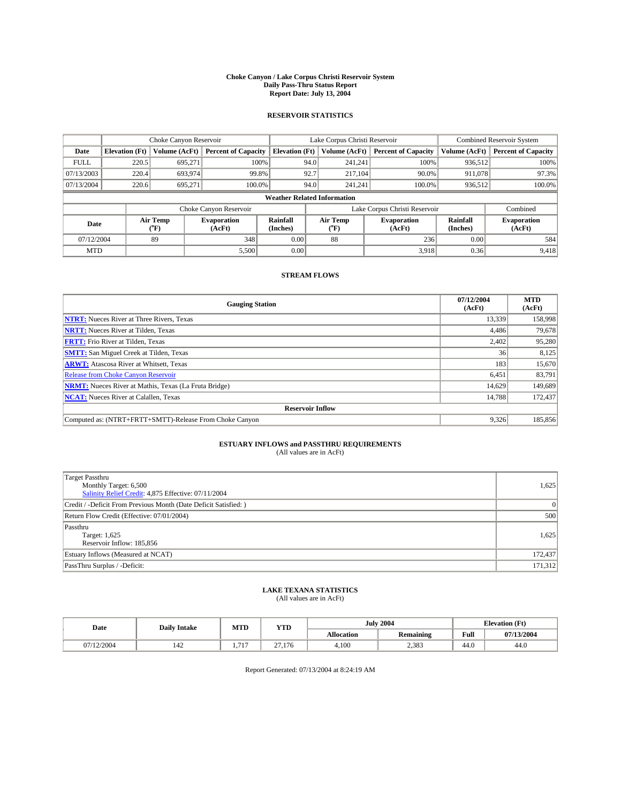#### **Choke Canyon / Lake Corpus Christi Reservoir System Daily Pass-Thru Status Report Report Date: July 13, 2004**

### **RESERVOIR STATISTICS**

|             | Choke Canyon Reservoir             |                             |                              |                             | Lake Corpus Christi Reservoir |                  |                               |                      | <b>Combined Reservoir System</b> |  |  |
|-------------|------------------------------------|-----------------------------|------------------------------|-----------------------------|-------------------------------|------------------|-------------------------------|----------------------|----------------------------------|--|--|
| Date        | <b>Elevation</b> (Ft)              | Volume (AcFt)               | <b>Percent of Capacity</b>   | <b>Elevation</b> (Ft)       |                               | Volume (AcFt)    | <b>Percent of Capacity</b>    | Volume (AcFt)        | <b>Percent of Capacity</b>       |  |  |
| <b>FULL</b> | 220.5                              | 695,271                     | 100%                         |                             | 94.0                          | 241,241          | 100%                          | 936.512              | 100%                             |  |  |
| 07/13/2003  | 220.4                              | 693,974                     | 99.8%                        |                             | 92.7                          | 217.104          | 90.0%                         | 911,078              | 97.3%                            |  |  |
| 07/13/2004  | 220.6                              | 695.271                     | 100.0%                       |                             | 94.0                          | 241.241          | $100.0\%$                     | 936,512              | 100.0%                           |  |  |
|             | <b>Weather Related Information</b> |                             |                              |                             |                               |                  |                               |                      |                                  |  |  |
|             |                                    |                             | Choke Canyon Reservoir       |                             |                               |                  | Lake Corpus Christi Reservoir |                      | Combined                         |  |  |
| Date        |                                    | Air Temp<br>${}^{\circ}$ F) | <b>Evaporation</b><br>(AcFt) | <b>Rainfall</b><br>(Inches) |                               | Air Temp<br>("F) | <b>Evaporation</b><br>(AcFt)  | Rainfall<br>(Inches) | <b>Evaporation</b><br>(AcFt)     |  |  |
| 07/12/2004  |                                    | 89                          | 348                          | 0.00                        |                               | 88               | 236                           | 0.00                 | 584                              |  |  |
| <b>MTD</b>  |                                    |                             | 5,500                        | 0.00                        |                               |                  | 3,918                         | 0.36                 | 9,418                            |  |  |

## **STREAM FLOWS**

| <b>Gauging Station</b>                                       | 07/12/2004<br>(AcFt) | <b>MTD</b><br>(AcFt) |  |  |  |  |
|--------------------------------------------------------------|----------------------|----------------------|--|--|--|--|
| <b>NTRT:</b> Nueces River at Three Rivers, Texas             | 13,339               | 158,998              |  |  |  |  |
| <b>NRTT:</b> Nueces River at Tilden, Texas                   | 4.486                | 79,678               |  |  |  |  |
| <b>FRTT:</b> Frio River at Tilden, Texas                     | 2,402                | 95,280               |  |  |  |  |
| <b>SMTT:</b> San Miguel Creek at Tilden, Texas               | 36                   | 8,125                |  |  |  |  |
| <b>ARWT:</b> Atascosa River at Whitsett, Texas               | 183                  | 15,670               |  |  |  |  |
| Release from Choke Canyon Reservoir                          | 6,451                | 83,791               |  |  |  |  |
| <b>NRMT:</b> Nueces River at Mathis, Texas (La Fruta Bridge) | 14.629               | 149,689              |  |  |  |  |
| <b>NCAT:</b> Nueces River at Calallen, Texas                 | 14,788               | 172,437              |  |  |  |  |
| <b>Reservoir Inflow</b>                                      |                      |                      |  |  |  |  |
| Computed as: (NTRT+FRTT+SMTT)-Release From Choke Canyon      | 9.326                | 185,856              |  |  |  |  |

## **ESTUARY INFLOWS and PASSTHRU REQUIREMENTS**<br>(All values are in AcFt)

| Target Passthru<br>Monthly Target: 6,500<br>Salinity Relief Credit: 4,875 Effective: 07/11/2004 | 1,625    |
|-------------------------------------------------------------------------------------------------|----------|
| Credit / -Deficit From Previous Month (Date Deficit Satisfied: )                                | $\Omega$ |
| Return Flow Credit (Effective: 07/01/2004)                                                      | 500      |
| Passthru<br>Target: 1,625<br>Reservoir Inflow: 185,856                                          | 1,625    |
| Estuary Inflows (Measured at NCAT)                                                              | 172,437  |
| PassThru Surplus / -Deficit:                                                                    | 171,312  |

## **LAKE TEXANA STATISTICS** (All values are in AcFt)

| Date     | <b>Daily Intake</b> | MTD      | <b>YTD</b>       | <b>July 2004</b>  |                  | <b>Elevation</b> (Ft) |            |
|----------|---------------------|----------|------------------|-------------------|------------------|-----------------------|------------|
|          |                     |          |                  | <b>Allocation</b> | <b>Remaining</b> | Full                  | 07/13/2004 |
| /12/2004 | 142                 | 715<br>. | $\sim$<br>27.176 | 4,100             | 2,383            | $\sqrt{ }$<br>44.0    | 44.0       |

Report Generated: 07/13/2004 at 8:24:19 AM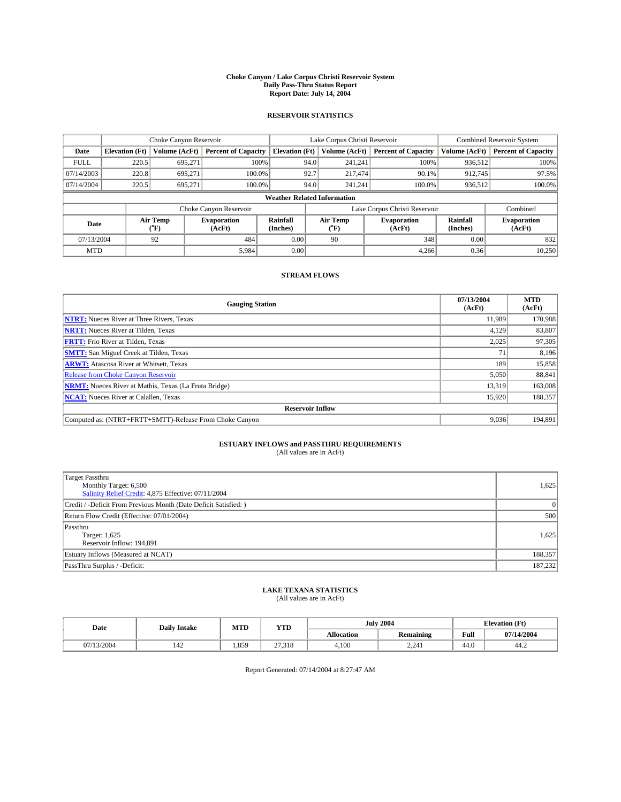#### **Choke Canyon / Lake Corpus Christi Reservoir System Daily Pass-Thru Status Report Report Date: July 14, 2004**

### **RESERVOIR STATISTICS**

|                                    | Choke Canyon Reservoir |                             |                              |                             | Lake Corpus Christi Reservoir |                               |                              |                      | <b>Combined Reservoir System</b> |  |
|------------------------------------|------------------------|-----------------------------|------------------------------|-----------------------------|-------------------------------|-------------------------------|------------------------------|----------------------|----------------------------------|--|
| Date                               | <b>Elevation</b> (Ft)  | Volume (AcFt)               | <b>Percent of Capacity</b>   | <b>Elevation</b> (Ft)       |                               | Volume (AcFt)                 | <b>Percent of Capacity</b>   | Volume (AcFt)        | <b>Percent of Capacity</b>       |  |
| <b>FULL</b>                        | 220.5                  | 695,271                     |                              | 100%                        | 94.0                          | 241,241                       | 100%                         | 936.512              | 100%                             |  |
| 07/14/2003                         | 220.8                  | 695.271                     | $100.0\%$                    |                             | 92.7                          | 217,474                       | $90.1\%$                     | 912.745              | 97.5%                            |  |
| 07/14/2004                         | 220.5                  | 695.271                     | 100.0%                       |                             | 94.0                          | 241.241                       | $100.0\%$                    | 936,512              | 100.0%                           |  |
| <b>Weather Related Information</b> |                        |                             |                              |                             |                               |                               |                              |                      |                                  |  |
|                                    |                        |                             | Choke Canyon Reservoir       |                             |                               | Lake Corpus Christi Reservoir |                              |                      | Combined                         |  |
| Date                               |                        | Air Temp<br>${}^{\circ}$ F) | <b>Evaporation</b><br>(AcFt) | <b>Rainfall</b><br>(Inches) |                               | Air Temp<br>("F)              | <b>Evaporation</b><br>(AcFt) | Rainfall<br>(Inches) | <b>Evaporation</b><br>(AcFt)     |  |
| 07/13/2004                         |                        | 92                          | 484                          | 0.00                        |                               | 90                            | 348                          | 0.00                 | 832                              |  |
| <b>MTD</b>                         |                        |                             | 5,984                        | 0.00                        |                               |                               | 4.266                        | 0.36                 | 10,250                           |  |

## **STREAM FLOWS**

| <b>Gauging Station</b>                                       | 07/13/2004<br>(AcFt) | <b>MTD</b><br>(AcFt) |  |  |  |  |
|--------------------------------------------------------------|----------------------|----------------------|--|--|--|--|
| <b>NTRT:</b> Nueces River at Three Rivers, Texas             | 11.989               | 170.988              |  |  |  |  |
| <b>NRTT:</b> Nueces River at Tilden, Texas                   | 4.129                | 83,807               |  |  |  |  |
| <b>FRTT:</b> Frio River at Tilden, Texas                     | 2,025                | 97,305               |  |  |  |  |
| <b>SMTT:</b> San Miguel Creek at Tilden, Texas               | 71                   | 8,196                |  |  |  |  |
| <b>ARWT:</b> Atascosa River at Whitsett, Texas               | 189                  | 15,858               |  |  |  |  |
| Release from Choke Canyon Reservoir                          | 5.050                | 88.841               |  |  |  |  |
| <b>NRMT:</b> Nueces River at Mathis, Texas (La Fruta Bridge) | 13.319               | 163,008              |  |  |  |  |
| <b>NCAT:</b> Nueces River at Calallen, Texas                 | 15,920               | 188,357              |  |  |  |  |
| <b>Reservoir Inflow</b>                                      |                      |                      |  |  |  |  |
| Computed as: (NTRT+FRTT+SMTT)-Release From Choke Canyon      | 9.036                | 194.891              |  |  |  |  |

## **ESTUARY INFLOWS and PASSTHRU REQUIREMENTS**<br>(All values are in AcFt)

| Target Passthru<br>Monthly Target: 6,500<br>Salinity Relief Credit: 4,875 Effective: 07/11/2004 | 1,625    |
|-------------------------------------------------------------------------------------------------|----------|
| Credit / -Deficit From Previous Month (Date Deficit Satisfied: )                                | $\Omega$ |
| Return Flow Credit (Effective: 07/01/2004)                                                      | 500      |
| Passthru<br>Target: 1,625<br>Reservoir Inflow: 194,891                                          | 1,625    |
| Estuary Inflows (Measured at NCAT)                                                              | 188,357  |
| PassThru Surplus / -Deficit:                                                                    | 187,232  |

## **LAKE TEXANA STATISTICS** (All values are in AcFt)

| Date     | <b>Daily Intake</b> | MTD   | <b>YTD</b>       |                   | <b>July 2004</b>                         | <b>Elevation</b> (Ft) |            |
|----------|---------------------|-------|------------------|-------------------|------------------------------------------|-----------------------|------------|
|          |                     |       |                  | <b>Allocation</b> | $\ddot{\phantom{a}}$<br><b>Remaining</b> | Full                  | 07/14/2004 |
| (13/2004 | 142                 | 1.859 | $\sim$<br>27.318 | 4,100             | 2,241                                    | $\sim$<br>44.0        | 44.2       |

Report Generated: 07/14/2004 at 8:27:47 AM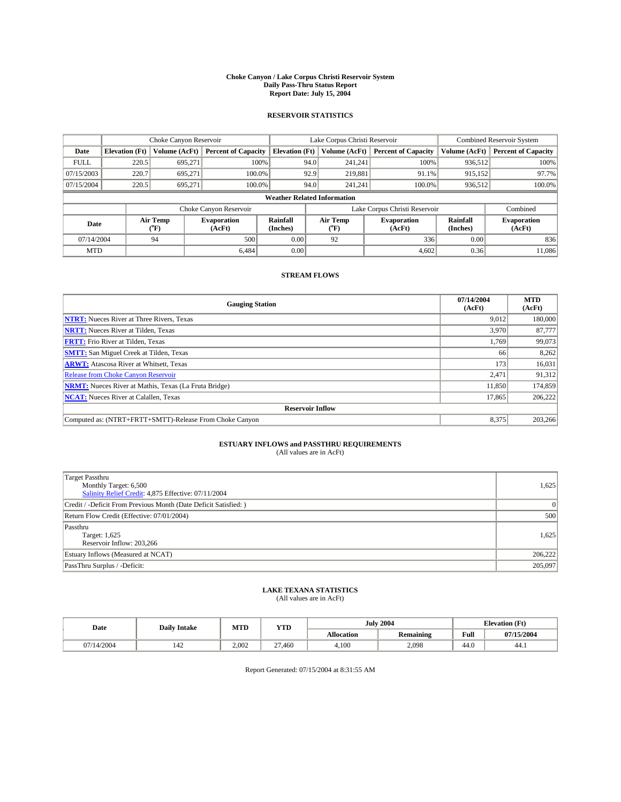#### **Choke Canyon / Lake Corpus Christi Reservoir System Daily Pass-Thru Status Report Report Date: July 15, 2004**

### **RESERVOIR STATISTICS**

|             | Choke Canyon Reservoir             |                  | Lake Corpus Christi Reservoir |                             |      |                  | Combined Reservoir System     |                      |                              |  |
|-------------|------------------------------------|------------------|-------------------------------|-----------------------------|------|------------------|-------------------------------|----------------------|------------------------------|--|
| Date        | <b>Elevation</b> (Ft)              | Volume (AcFt)    | <b>Percent of Capacity</b>    | <b>Elevation</b> (Ft)       |      | Volume (AcFt)    | <b>Percent of Capacity</b>    | Volume (AcFt)        | <b>Percent of Capacity</b>   |  |
| <b>FULL</b> | 220.5                              | 695,271          |                               | 100%                        | 94.0 | 241,241          | 100%                          | 936.512              | 100%                         |  |
| 07/15/2003  | 220.7                              | 695.271          | $100.0\%$                     |                             | 92.9 | 219.881          | 91.1%                         | 915,152              | 97.7%                        |  |
| 07/15/2004  | 220.5                              | 695.271          | 100.0%                        |                             | 94.0 | 241.241          | $100.0\%$                     | 936,512              | 100.0%                       |  |
|             | <b>Weather Related Information</b> |                  |                               |                             |      |                  |                               |                      |                              |  |
|             |                                    |                  | Choke Canyon Reservoir        |                             |      |                  | Lake Corpus Christi Reservoir |                      | Combined                     |  |
| Date        |                                    | Air Temp<br>(°F) | <b>Evaporation</b><br>(AcFt)  | <b>Rainfall</b><br>(Inches) |      | Air Temp<br>("F) | <b>Evaporation</b><br>(AcFt)  | Rainfall<br>(Inches) | <b>Evaporation</b><br>(AcFt) |  |
| 07/14/2004  |                                    | 94               | 500                           | 0.00                        |      | 92               | 336                           | 0.00                 | 836                          |  |
| <b>MTD</b>  |                                    |                  | 6.484                         | 0.00                        |      |                  | 4,602                         | 0.36                 | 11,086                       |  |

## **STREAM FLOWS**

| <b>Gauging Station</b>                                       | 07/14/2004<br>(AcFt) | <b>MTD</b><br>(AcFt) |
|--------------------------------------------------------------|----------------------|----------------------|
| <b>NTRT:</b> Nueces River at Three Rivers, Texas             | 9,012                | 180,000              |
| <b>NRTT:</b> Nueces River at Tilden, Texas                   | 3,970                | 87,777               |
| <b>FRTT:</b> Frio River at Tilden, Texas                     | l.769                | 99,073               |
| <b>SMTT:</b> San Miguel Creek at Tilden, Texas               | 66                   | 8,262                |
| <b>ARWT:</b> Atascosa River at Whitsett, Texas               | 173                  | 16,031               |
| <b>Release from Choke Canyon Reservoir</b>                   | 2,471                | 91,312               |
| <b>NRMT:</b> Nueces River at Mathis, Texas (La Fruta Bridge) | 11,850               | 174,859              |
| <b>NCAT:</b> Nueces River at Calallen, Texas                 | 17,865               | 206,222              |
| <b>Reservoir Inflow</b>                                      |                      |                      |
| Computed as: (NTRT+FRTT+SMTT)-Release From Choke Canyon      | 8,375                | 203,266              |

## **ESTUARY INFLOWS and PASSTHRU REQUIREMENTS**<br>(All values are in AcFt)

| Target Passthru<br>Monthly Target: 6,500<br>Salinity Relief Credit: 4,875 Effective: 07/11/2004 | 1,625   |
|-------------------------------------------------------------------------------------------------|---------|
| Credit / -Deficit From Previous Month (Date Deficit Satisfied: )                                | 0       |
| Return Flow Credit (Effective: 07/01/2004)                                                      | 500     |
| Passthru<br>Target: 1,625<br>Reservoir Inflow: 203,266                                          | 1,625   |
| Estuary Inflows (Measured at NCAT)                                                              | 206,222 |
| PassThru Surplus / -Deficit:                                                                    | 205,097 |

## **LAKE TEXANA STATISTICS** (All values are in AcFt)

| Date      | <b>Daily Intake</b> | MTD   | <b>YTD</b> |                   | <b>July 2004</b> | <b>Elevation</b> (Ft) |            |
|-----------|---------------------|-------|------------|-------------------|------------------|-----------------------|------------|
|           |                     |       |            | <b>Allocation</b> | <b>Remaining</b> | Full                  | 07/15/2004 |
| 7/14/2004 | 142                 | 2.002 | 27.460     | 4.100             | 2,098            | 44.0                  | 44.1       |

Report Generated: 07/15/2004 at 8:31:55 AM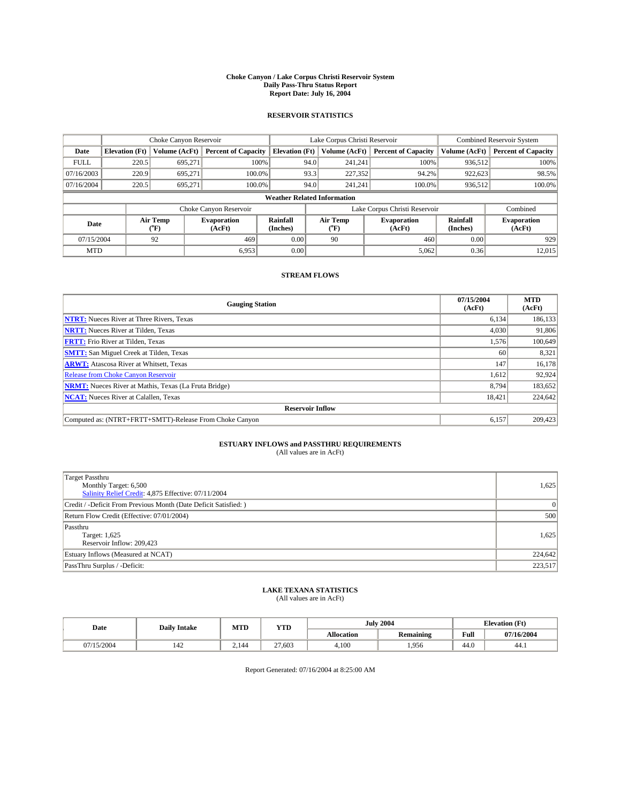#### **Choke Canyon / Lake Corpus Christi Reservoir System Daily Pass-Thru Status Report Report Date: July 16, 2004**

### **RESERVOIR STATISTICS**

|                                    | Choke Canyon Reservoir |                             | Lake Corpus Christi Reservoir |                             |      |                  | Combined Reservoir System     |                             |                              |
|------------------------------------|------------------------|-----------------------------|-------------------------------|-----------------------------|------|------------------|-------------------------------|-----------------------------|------------------------------|
| Date                               | <b>Elevation</b> (Ft)  | Volume (AcFt)               | <b>Percent of Capacity</b>    | <b>Elevation</b> (Ft)       |      | Volume (AcFt)    | <b>Percent of Capacity</b>    | Volume (AcFt)               | <b>Percent of Capacity</b>   |
| <b>FULL</b>                        | 220.5                  | 695,271                     |                               | 100%                        | 94.0 | 241,241          | 100%                          | 936.512                     | 100%                         |
| 07/16/2003                         | 220.9                  | 695.271                     | $100.0\%$                     |                             | 93.3 | 227,352          | 94.2%                         | 922,623                     | 98.5%                        |
| 07/16/2004                         | 220.5                  | 695.271                     | 100.0%                        |                             | 94.0 | 241.241          | $100.0\%$                     | 936,512                     | 100.0%                       |
| <b>Weather Related Information</b> |                        |                             |                               |                             |      |                  |                               |                             |                              |
|                                    |                        |                             | Choke Canyon Reservoir        |                             |      |                  | Lake Corpus Christi Reservoir |                             | Combined                     |
| Date                               |                        | Air Temp<br>${}^{\circ}$ F) | <b>Evaporation</b><br>(AcFt)  | <b>Rainfall</b><br>(Inches) |      | Air Temp<br>("F) | <b>Evaporation</b><br>(AcFt)  | <b>Rainfall</b><br>(Inches) | <b>Evaporation</b><br>(AcFt) |
| 07/15/2004                         |                        | 92                          | 469                           | 0.00                        |      | 90               | 460                           | 0.00                        | 929                          |
| <b>MTD</b>                         |                        |                             | 6,953                         | 0.00                        |      |                  | 5,062                         | 0.36                        | 12,015                       |

## **STREAM FLOWS**

| <b>Gauging Station</b>                                       | 07/15/2004<br>(AcFt) | <b>MTD</b><br>(AcFt) |  |  |  |  |
|--------------------------------------------------------------|----------------------|----------------------|--|--|--|--|
| <b>NTRT:</b> Nueces River at Three Rivers, Texas             | 6,134                | 186,133              |  |  |  |  |
| <b>NRTT:</b> Nueces River at Tilden, Texas                   | 4,030                | 91,806               |  |  |  |  |
| <b>FRTT:</b> Frio River at Tilden, Texas                     | 1.576                | 100,649              |  |  |  |  |
| <b>SMTT:</b> San Miguel Creek at Tilden, Texas               | 60                   | 8,321                |  |  |  |  |
| <b>ARWT:</b> Atascosa River at Whitsett, Texas               | 147                  | 16,178               |  |  |  |  |
| Release from Choke Canyon Reservoir                          | 1.612                | 92,924               |  |  |  |  |
| <b>NRMT:</b> Nueces River at Mathis, Texas (La Fruta Bridge) | 8.794                | 183,652              |  |  |  |  |
| <b>NCAT:</b> Nueces River at Calallen, Texas                 | 18,421               | 224,642              |  |  |  |  |
| <b>Reservoir Inflow</b>                                      |                      |                      |  |  |  |  |
| Computed as: (NTRT+FRTT+SMTT)-Release From Choke Canyon      | 6,157                | 209,423              |  |  |  |  |

## **ESTUARY INFLOWS and PASSTHRU REQUIREMENTS**

(All values are in AcFt)

| Target Passthru<br>Monthly Target: 6,500<br>Salinity Relief Credit: 4,875 Effective: 07/11/2004 | 1,625   |
|-------------------------------------------------------------------------------------------------|---------|
| Credit / -Deficit From Previous Month (Date Deficit Satisfied: )                                | 0       |
| Return Flow Credit (Effective: 07/01/2004)                                                      | 500     |
| Passthru<br>Target: 1,625<br>Reservoir Inflow: 209,423                                          | 1,625   |
| Estuary Inflows (Measured at NCAT)                                                              | 224,642 |
| PassThru Surplus / -Deficit:                                                                    | 223,517 |

# **LAKE TEXANA STATISTICS** (All values are in AcFt)

| Date       | <b>Daily Intake</b> | MTD   | <b>SZEPT</b> |            | <b>July 2004</b> | <b>Elevation</b> (Ft) |            |  |
|------------|---------------------|-------|--------------|------------|------------------|-----------------------|------------|--|
|            |                     |       |              | Allocation | <b>Remaining</b> | Full                  | 07/16/2004 |  |
| 07/15/2004 | L42                 | 2,144 | 27,603       | 4,100      | 1,956            | 44.0                  | 44.1       |  |

Report Generated: 07/16/2004 at 8:25:00 AM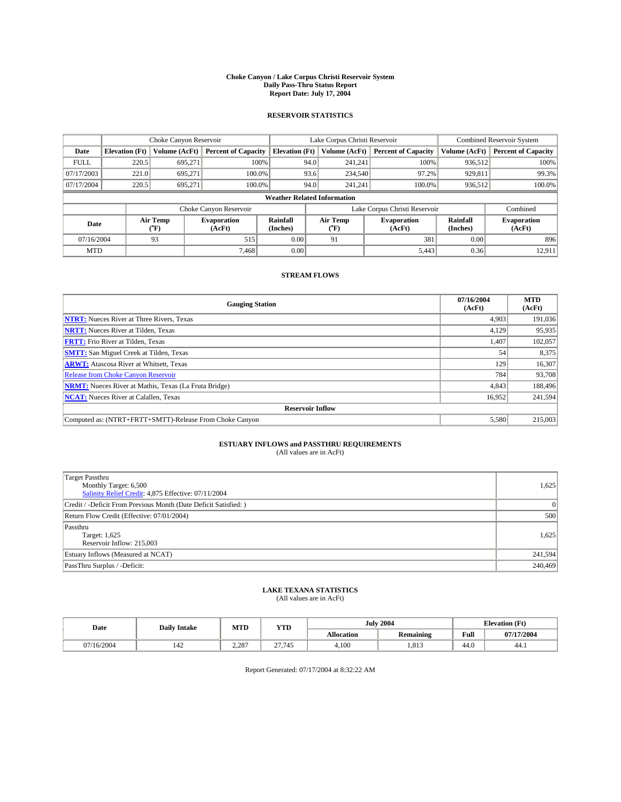#### **Choke Canyon / Lake Corpus Christi Reservoir System Daily Pass-Thru Status Report Report Date: July 17, 2004**

### **RESERVOIR STATISTICS**

|             | Choke Canyon Reservoir             |                             | Lake Corpus Christi Reservoir |                             |      |                               | Combined Reservoir System    |                             |                              |  |
|-------------|------------------------------------|-----------------------------|-------------------------------|-----------------------------|------|-------------------------------|------------------------------|-----------------------------|------------------------------|--|
| Date        | <b>Elevation</b> (Ft)              | Volume (AcFt)               | <b>Percent of Capacity</b>    | <b>Elevation</b> (Ft)       |      | Volume (AcFt)                 | <b>Percent of Capacity</b>   | Volume (AcFt)               | <b>Percent of Capacity</b>   |  |
| <b>FULL</b> | 220.5                              | 695,271                     |                               | 100%                        | 94.0 | 241,241                       | 100%                         | 936.512                     | 100%                         |  |
| 07/17/2003  | 221.0                              | 695.271                     | $100.0\%$                     |                             | 93.6 | 234,540                       | 97.2%                        | 929,811                     | 99.3%                        |  |
| 07/17/2004  | 220.5                              | 695.271                     | 100.0%                        |                             | 94.0 | 241.241                       | $100.0\%$                    | 936,512                     | 100.0%                       |  |
|             | <b>Weather Related Information</b> |                             |                               |                             |      |                               |                              |                             |                              |  |
|             |                                    |                             | Choke Canyon Reservoir        |                             |      | Lake Corpus Christi Reservoir |                              |                             | Combined                     |  |
| Date        |                                    | Air Temp<br>${}^{\circ}$ F) | <b>Evaporation</b><br>(AcFt)  | <b>Rainfall</b><br>(Inches) |      | Air Temp<br>("F)              | <b>Evaporation</b><br>(AcFt) | <b>Rainfall</b><br>(Inches) | <b>Evaporation</b><br>(AcFt) |  |
| 07/16/2004  |                                    | 93                          | 515                           | 0.00                        |      | 91                            | 381                          | 0.00                        | 896                          |  |
| <b>MTD</b>  |                                    |                             | 7.468                         | 0.00                        |      |                               | 5,443                        | 0.36                        | 12,911                       |  |

## **STREAM FLOWS**

| <b>Gauging Station</b>                                       | 07/16/2004<br>(AcFt) | <b>MTD</b><br>(AcFt) |  |  |  |  |
|--------------------------------------------------------------|----------------------|----------------------|--|--|--|--|
| <b>NTRT:</b> Nueces River at Three Rivers, Texas             | 4,903                | 191,036              |  |  |  |  |
| <b>NRTT:</b> Nueces River at Tilden, Texas                   | 4.129                | 95,935               |  |  |  |  |
| <b>FRTT:</b> Frio River at Tilden, Texas                     | 1,407                | 102,057              |  |  |  |  |
| <b>SMTT:</b> San Miguel Creek at Tilden, Texas               | 54                   | 8,375                |  |  |  |  |
| <b>ARWT:</b> Atascosa River at Whitsett, Texas               | 129                  | 16,307               |  |  |  |  |
| <b>Release from Choke Canyon Reservoir</b>                   | 784                  | 93,708               |  |  |  |  |
| <b>NRMT:</b> Nueces River at Mathis, Texas (La Fruta Bridge) | 4,843                | 188,496              |  |  |  |  |
| <b>NCAT:</b> Nueces River at Calallen, Texas                 | 16,952               | 241,594              |  |  |  |  |
| <b>Reservoir Inflow</b>                                      |                      |                      |  |  |  |  |
| Computed as: (NTRT+FRTT+SMTT)-Release From Choke Canyon      | 5.580                | 215,003              |  |  |  |  |

## **ESTUARY INFLOWS and PASSTHRU REQUIREMENTS**<br>(All values are in AcFt)

| Target Passthru<br>Monthly Target: 6,500<br>Salinity Relief Credit: 4,875 Effective: 07/11/2004 | 1,625   |
|-------------------------------------------------------------------------------------------------|---------|
| Credit / -Deficit From Previous Month (Date Deficit Satisfied: )                                | 0       |
| Return Flow Credit (Effective: 07/01/2004)                                                      | 500     |
| Passthru<br>Target: 1,625<br>Reservoir Inflow: 215,003                                          | 1,625   |
| Estuary Inflows (Measured at NCAT)                                                              | 241,594 |
| PassThru Surplus / -Deficit:                                                                    | 240,469 |

## **LAKE TEXANA STATISTICS** (All values are in AcFt)

| Date     | <b>Daily Intake</b> | MTD   | <b>YTD</b> |                   | <b>July 2004</b> | <b>Elevation</b> (Ft) |            |
|----------|---------------------|-------|------------|-------------------|------------------|-----------------------|------------|
|          |                     |       |            | <b>Allocation</b> | <b>Remaining</b> | Full                  | 07/17/2004 |
| /16/2004 | 142                 | 2.287 | 27,745     | 4,100             | 1,813            | $\sim$<br>44.0        | 44.1       |

Report Generated: 07/17/2004 at 8:32:22 AM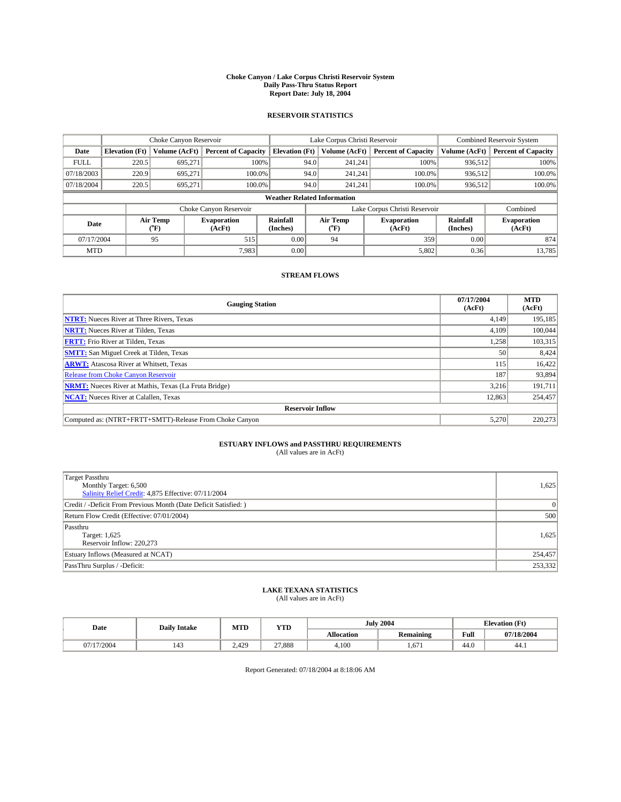#### **Choke Canyon / Lake Corpus Christi Reservoir System Daily Pass-Thru Status Report Report Date: July 18, 2004**

### **RESERVOIR STATISTICS**

|                                    | Choke Canyon Reservoir |                  | Lake Corpus Christi Reservoir |                             |      |                  | Combined Reservoir System     |                             |                              |
|------------------------------------|------------------------|------------------|-------------------------------|-----------------------------|------|------------------|-------------------------------|-----------------------------|------------------------------|
| Date                               | <b>Elevation</b> (Ft)  | Volume (AcFt)    | <b>Percent of Capacity</b>    | <b>Elevation</b> (Ft)       |      | Volume (AcFt)    | <b>Percent of Capacity</b>    | Volume (AcFt)               | <b>Percent of Capacity</b>   |
| <b>FULL</b>                        | 220.5                  | 695,271          |                               | 100%                        | 94.0 | 241,241          | 100%                          | 936.512                     | 100%                         |
| 07/18/2003                         | 220.9                  | 695.271          | $100.0\%$                     |                             | 94.0 | 241.241          | $100.0\%$                     | 936.512                     | 100.0%                       |
| 07/18/2004                         | 220.5                  | 695.271          | 100.0%                        |                             | 94.0 | 241.241          | $100.0\%$                     | 936,512                     | 100.0%                       |
| <b>Weather Related Information</b> |                        |                  |                               |                             |      |                  |                               |                             |                              |
|                                    |                        |                  | Choke Canyon Reservoir        |                             |      |                  | Lake Corpus Christi Reservoir |                             | Combined                     |
| Date                               |                        | Air Temp<br>(°F) | <b>Evaporation</b><br>(AcFt)  | <b>Rainfall</b><br>(Inches) |      | Air Temp<br>("F) | <b>Evaporation</b><br>(AcFt)  | <b>Rainfall</b><br>(Inches) | <b>Evaporation</b><br>(AcFt) |
| 07/17/2004                         |                        | 95               | 515                           | 0.00                        |      | 94               | 359                           | 0.00                        | 874                          |
| <b>MTD</b>                         |                        |                  | 7,983                         | 0.00                        |      |                  | 5,802                         | 0.36                        | 13,785                       |

## **STREAM FLOWS**

| <b>Gauging Station</b>                                       | 07/17/2004<br>(AcFt) | <b>MTD</b><br>(AcFt) |  |  |  |  |  |
|--------------------------------------------------------------|----------------------|----------------------|--|--|--|--|--|
| <b>NTRT:</b> Nueces River at Three Rivers, Texas             | 4.149                | 195.185              |  |  |  |  |  |
| <b>NRTT:</b> Nueces River at Tilden, Texas                   | 4.109                | 100,044              |  |  |  |  |  |
| <b>FRTT:</b> Frio River at Tilden, Texas                     | 1.258                | 103,315              |  |  |  |  |  |
| <b>SMTT:</b> San Miguel Creek at Tilden, Texas               | 50                   | 8,424                |  |  |  |  |  |
| <b>ARWT:</b> Atascosa River at Whitsett, Texas               | 115                  | 16,422               |  |  |  |  |  |
| <b>Release from Choke Canyon Reservoir</b>                   | 187                  | 93,894               |  |  |  |  |  |
| <b>NRMT:</b> Nueces River at Mathis, Texas (La Fruta Bridge) | 3.216                | 191.711              |  |  |  |  |  |
| <b>NCAT:</b> Nueces River at Calallen, Texas                 | 12,863               | 254,457              |  |  |  |  |  |
| <b>Reservoir Inflow</b>                                      |                      |                      |  |  |  |  |  |
| Computed as: (NTRT+FRTT+SMTT)-Release From Choke Canyon      | 5.270                | 220,273              |  |  |  |  |  |

## **ESTUARY INFLOWS and PASSTHRU REQUIREMENTS**<br>(All values are in AcFt)

| Target Passthru<br>Monthly Target: 6,500<br>Salinity Relief Credit: 4,875 Effective: 07/11/2004 | 1,625    |
|-------------------------------------------------------------------------------------------------|----------|
| Credit / -Deficit From Previous Month (Date Deficit Satisfied: )                                | $\Omega$ |
| Return Flow Credit (Effective: 07/01/2004)                                                      | 500      |
| Passthru<br>Target: 1,625<br>Reservoir Inflow: 220,273                                          | 1,625    |
| Estuary Inflows (Measured at NCAT)                                                              | 254,457  |
| PassThru Surplus / -Deficit:                                                                    | 253,332  |

## **LAKE TEXANA STATISTICS** (All values are in AcFt)

| Date    | <b>Daily Intake</b>   | MTD          | <b>VTT</b><br>1. L.D |            | <b>July 2004</b> | <b>Elevation</b> (Ft) |            |
|---------|-----------------------|--------------|----------------------|------------|------------------|-----------------------|------------|
|         |                       |              |                      | Allocation | <b>Remaining</b> | Full                  | 97/18/2004 |
| 17/2004 | $\overline{A}$<br>143 | 420<br>2.425 | 27,888               | 4.100      | 1.671            | 44.0                  | 44.1       |

Report Generated: 07/18/2004 at 8:18:06 AM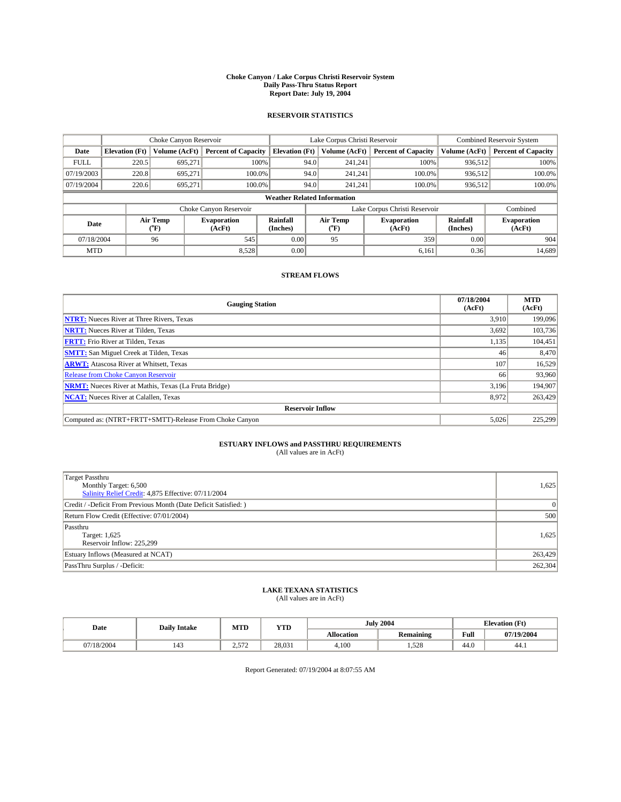#### **Choke Canyon / Lake Corpus Christi Reservoir System Daily Pass-Thru Status Report Report Date: July 19, 2004**

### **RESERVOIR STATISTICS**

|             | Choke Canyon Reservoir             |                  | Lake Corpus Christi Reservoir |                             |      |                  | Combined Reservoir System     |                             |                              |  |
|-------------|------------------------------------|------------------|-------------------------------|-----------------------------|------|------------------|-------------------------------|-----------------------------|------------------------------|--|
| Date        | <b>Elevation</b> (Ft)              | Volume (AcFt)    | <b>Percent of Capacity</b>    | <b>Elevation</b> (Ft)       |      | Volume (AcFt)    | <b>Percent of Capacity</b>    | Volume (AcFt)               | <b>Percent of Capacity</b>   |  |
| <b>FULL</b> | 220.5                              | 695,271          |                               | 100%                        | 94.0 | 241,241          | 100%                          | 936.512                     | 100%                         |  |
| 07/19/2003  | 220.8                              | 695.271          | $100.0\%$                     |                             | 94.0 | 241.241          | $100.0\%$                     | 936.512                     | 100.0%                       |  |
| 07/19/2004  | 220.6                              | 695.271          | 100.0%                        |                             | 94.0 | 241.241          | $100.0\%$                     | 936,512                     | 100.0%                       |  |
|             | <b>Weather Related Information</b> |                  |                               |                             |      |                  |                               |                             |                              |  |
|             |                                    |                  | Choke Canyon Reservoir        |                             |      |                  | Lake Corpus Christi Reservoir |                             | Combined                     |  |
| Date        |                                    | Air Temp<br>(°F) | <b>Evaporation</b><br>(AcFt)  | <b>Rainfall</b><br>(Inches) |      | Air Temp<br>("F) | <b>Evaporation</b><br>(AcFt)  | <b>Rainfall</b><br>(Inches) | <b>Evaporation</b><br>(AcFt) |  |
| 07/18/2004  |                                    | 96               | 545                           | 0.00                        |      | 95               | 359                           | 0.00                        | 904                          |  |
| <b>MTD</b>  |                                    |                  | 8,528                         | 0.00                        |      |                  | 6,161                         | 0.36                        | 14,689                       |  |

### **STREAM FLOWS**

| <b>Gauging Station</b>                                       | 07/18/2004<br>(AcFt) | <b>MTD</b><br>(AcFt) |
|--------------------------------------------------------------|----------------------|----------------------|
| <b>NTRT:</b> Nueces River at Three Rivers, Texas             | 3.910                | 199,096              |
| <b>NRTT:</b> Nueces River at Tilden, Texas                   | 3,692                | 103.736              |
| <b>FRTT:</b> Frio River at Tilden, Texas                     | 1,135                | 104,451              |
| <b>SMTT:</b> San Miguel Creek at Tilden, Texas               | 46                   | 8,470                |
| <b>ARWT:</b> Atascosa River at Whitsett, Texas               | 107                  | 16,529               |
| <b>Release from Choke Canyon Reservoir</b>                   | 66                   | 93,960               |
| <b>NRMT:</b> Nueces River at Mathis, Texas (La Fruta Bridge) | 3.196                | 194,907              |
| <b>NCAT:</b> Nueces River at Calallen, Texas                 | 8,972                | 263,429              |
| <b>Reservoir Inflow</b>                                      |                      |                      |
| Computed as: (NTRT+FRTT+SMTT)-Release From Choke Canyon      | 5,026                | 225,299              |

## **ESTUARY INFLOWS and PASSTHRU REQUIREMENTS**<br>(All values are in AcFt)

| Target Passthru<br>Monthly Target: 6,500<br>Salinity Relief Credit: 4,875 Effective: 07/11/2004 | 1,625   |
|-------------------------------------------------------------------------------------------------|---------|
| Credit / -Deficit From Previous Month (Date Deficit Satisfied: )                                | 0       |
| Return Flow Credit (Effective: 07/01/2004)                                                      | 500     |
| Passthru<br>Target: 1,625<br>Reservoir Inflow: 225,299                                          | 1,625   |
| Estuary Inflows (Measured at NCAT)                                                              | 263,429 |
| PassThru Surplus / -Deficit:                                                                    | 262,304 |

## **LAKE TEXANA STATISTICS** (All values are in AcFt)

| Date       | <b>Daily Intake</b> | MTD           | <b>YTD</b> | <b>July 2004</b>  |           | <b>Elevation</b> (Ft) |            |
|------------|---------------------|---------------|------------|-------------------|-----------|-----------------------|------------|
|            |                     |               |            | <b>Allocation</b> | Remaining | Full                  | 07/19/2004 |
| 07/18/2004 | 143                 | 572<br>ے رہے۔ | 28,031     | 4,100             | 1,528     | 44.0                  | 44.1       |

Report Generated: 07/19/2004 at 8:07:55 AM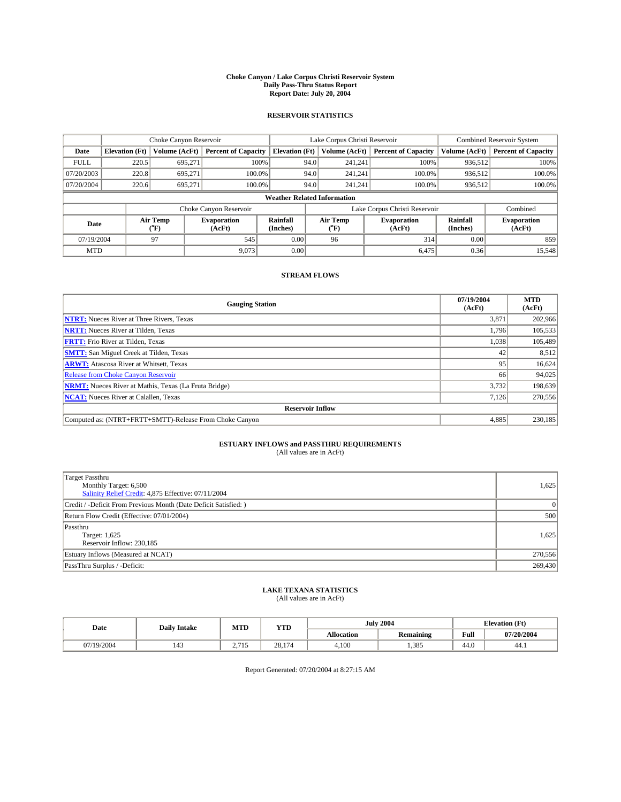#### **Choke Canyon / Lake Corpus Christi Reservoir System Daily Pass-Thru Status Report Report Date: July 20, 2004**

### **RESERVOIR STATISTICS**

|             | Choke Canyon Reservoir             |                             | Lake Corpus Christi Reservoir |                             |      |                  | Combined Reservoir System     |                      |                              |  |
|-------------|------------------------------------|-----------------------------|-------------------------------|-----------------------------|------|------------------|-------------------------------|----------------------|------------------------------|--|
| Date        | <b>Elevation</b> (Ft)              | Volume (AcFt)               | <b>Percent of Capacity</b>    | <b>Elevation</b> (Ft)       |      | Volume (AcFt)    | <b>Percent of Capacity</b>    | Volume (AcFt)        | <b>Percent of Capacity</b>   |  |
| <b>FULL</b> | 220.5                              | 695,271                     |                               | 100%                        | 94.0 | 241,241          | 100%                          | 936.512              | 100%                         |  |
| 07/20/2003  | 220.8                              | 695.271                     | $100.0\%$                     |                             | 94.0 | 241.241          | $100.0\%$                     | 936.512              | 100.0%                       |  |
| 07/20/2004  | 220.6                              | 695.271                     | 100.0%                        |                             | 94.0 | 241.241          | $100.0\%$                     | 936,512              | 100.0%                       |  |
|             | <b>Weather Related Information</b> |                             |                               |                             |      |                  |                               |                      |                              |  |
|             |                                    |                             | Choke Canyon Reservoir        |                             |      |                  | Lake Corpus Christi Reservoir |                      | Combined                     |  |
| Date        |                                    | Air Temp<br>${}^{\circ}$ F) | <b>Evaporation</b><br>(AcFt)  | <b>Rainfall</b><br>(Inches) |      | Air Temp<br>("F) | <b>Evaporation</b><br>(AcFt)  | Rainfall<br>(Inches) | <b>Evaporation</b><br>(AcFt) |  |
| 07/19/2004  |                                    | 97                          | 545                           | 0.00                        |      | 96               | 314                           | 0.00                 | 859                          |  |
| <b>MTD</b>  |                                    |                             | 9,073                         | 0.00                        |      |                  | 6,475                         | 0.36                 | 15,548                       |  |

## **STREAM FLOWS**

| <b>Gauging Station</b>                                       | 07/19/2004<br>(AcFt) | <b>MTD</b><br>(AcFt) |
|--------------------------------------------------------------|----------------------|----------------------|
| <b>NTRT:</b> Nueces River at Three Rivers, Texas             | 3,871                | 202,966              |
| <b>NRTT:</b> Nueces River at Tilden, Texas                   | 1.796                | 105,533              |
| <b>FRTT:</b> Frio River at Tilden, Texas                     | 1.038                | 105,489              |
| <b>SMTT:</b> San Miguel Creek at Tilden, Texas               | 42                   | 8,512                |
| <b>ARWT:</b> Atascosa River at Whitsett, Texas               | 95                   | 16,624               |
| <b>Release from Choke Canyon Reservoir</b>                   | 66                   | 94,025               |
| <b>NRMT:</b> Nueces River at Mathis, Texas (La Fruta Bridge) | 3,732                | 198.639              |
| <b>NCAT:</b> Nueces River at Calallen, Texas                 | 7,126                | 270,556              |
| <b>Reservoir Inflow</b>                                      |                      |                      |
| Computed as: (NTRT+FRTT+SMTT)-Release From Choke Canyon      | 4,885                | 230,185              |

## **ESTUARY INFLOWS and PASSTHRU REQUIREMENTS**<br>(All values are in AcFt)

| Target Passthru<br>Monthly Target: 6,500<br>Salinity Relief Credit: 4,875 Effective: 07/11/2004 | 1,625   |
|-------------------------------------------------------------------------------------------------|---------|
| Credit / -Deficit From Previous Month (Date Deficit Satisfied: )                                | 0       |
| Return Flow Credit (Effective: 07/01/2004)                                                      | 500     |
| Passthru<br>Target: 1,625<br>Reservoir Inflow: 230,185                                          | 1,625   |
| Estuary Inflows (Measured at NCAT)                                                              | 270,556 |
| PassThru Surplus / -Deficit:                                                                    | 269,430 |

## **LAKE TEXANA STATISTICS** (All values are in AcFt)

| Date     | <b>Daily Intake</b> | MTD                   | <b>YTD</b> |                   | <b>July 2004</b> |                    | <b>Elevation</b> (Ft) |  |
|----------|---------------------|-----------------------|------------|-------------------|------------------|--------------------|-----------------------|--|
|          |                     |                       |            | <b>Allocation</b> | <b>Remaining</b> | Full               | 07/20/2004            |  |
| /19/2004 | 143                 | 1715<br><u>.</u><br>. | 28.174     | 4,100             | .385             | $\sqrt{ }$<br>44.0 | 44.1                  |  |

Report Generated: 07/20/2004 at 8:27:15 AM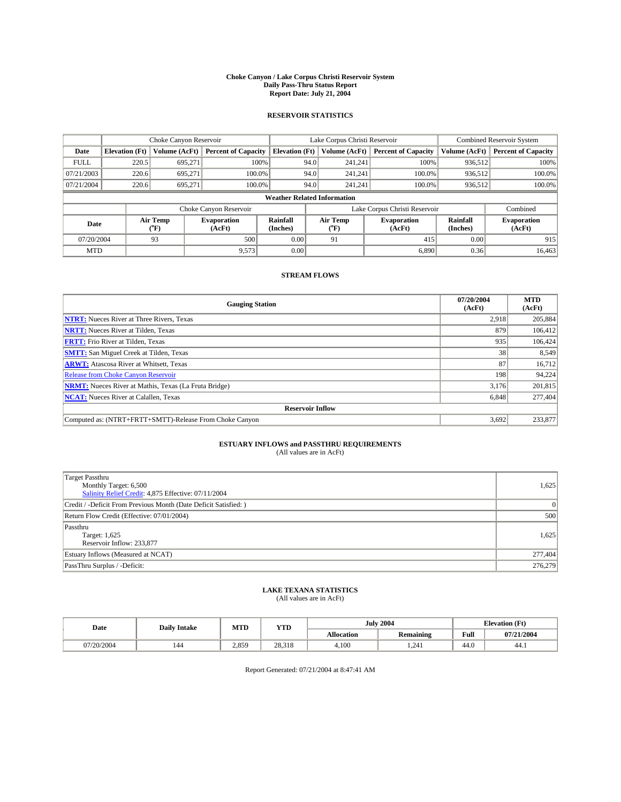#### **Choke Canyon / Lake Corpus Christi Reservoir System Daily Pass-Thru Status Report Report Date: July 21, 2004**

### **RESERVOIR STATISTICS**

|             | Choke Canyon Reservoir             |                  | Lake Corpus Christi Reservoir |                             |      |                  | Combined Reservoir System     |                      |                              |  |
|-------------|------------------------------------|------------------|-------------------------------|-----------------------------|------|------------------|-------------------------------|----------------------|------------------------------|--|
| Date        | <b>Elevation</b> (Ft)              | Volume (AcFt)    | <b>Percent of Capacity</b>    | <b>Elevation</b> (Ft)       |      | Volume (AcFt)    | <b>Percent of Capacity</b>    | Volume (AcFt)        | <b>Percent of Capacity</b>   |  |
| <b>FULL</b> | 220.5                              | 695,271          |                               | 100%                        | 94.0 | 241,241          | 100%                          | 936.512              | 100%                         |  |
| 07/21/2003  | 220.6                              | 695.271          | $100.0\%$                     |                             | 94.0 | 241.241          | $100.0\%$                     | 936.512              | 100.0%                       |  |
| 07/21/2004  | 220.6                              | 695.271          | 100.0%                        |                             | 94.0 | 241.241          | $100.0\%$                     | 936,512              | 100.0%                       |  |
|             | <b>Weather Related Information</b> |                  |                               |                             |      |                  |                               |                      |                              |  |
|             |                                    |                  | Choke Canyon Reservoir        |                             |      |                  | Lake Corpus Christi Reservoir |                      | Combined                     |  |
| Date        |                                    | Air Temp<br>(°F) | <b>Evaporation</b><br>(AcFt)  | <b>Rainfall</b><br>(Inches) |      | Air Temp<br>("F) | <b>Evaporation</b><br>(AcFt)  | Rainfall<br>(Inches) | <b>Evaporation</b><br>(AcFt) |  |
| 07/20/2004  |                                    | 93               | 500                           | 0.00                        |      | 91               | 415                           | 0.00                 | 915                          |  |
| <b>MTD</b>  |                                    |                  | 9,573                         | 0.00                        |      |                  | 6,890                         | 0.36                 | 16,463                       |  |

## **STREAM FLOWS**

| <b>Gauging Station</b>                                       | 07/20/2004<br>(AcFt) | <b>MTD</b><br>(AcFt) |  |  |  |  |  |
|--------------------------------------------------------------|----------------------|----------------------|--|--|--|--|--|
| <b>NTRT:</b> Nueces River at Three Rivers, Texas             | 2.918                | 205,884              |  |  |  |  |  |
| <b>NRTT:</b> Nueces River at Tilden, Texas                   | 879                  | 106,412              |  |  |  |  |  |
| <b>FRTT:</b> Frio River at Tilden, Texas                     | 935                  | 106,424              |  |  |  |  |  |
| <b>SMTT:</b> San Miguel Creek at Tilden, Texas               | 38                   | 8,549                |  |  |  |  |  |
| <b>ARWT:</b> Atascosa River at Whitsett, Texas               | 87                   | 16,712               |  |  |  |  |  |
| <b>Release from Choke Canyon Reservoir</b>                   | 198                  | 94,224               |  |  |  |  |  |
| <b>NRMT:</b> Nueces River at Mathis, Texas (La Fruta Bridge) | 3.176                | 201,815              |  |  |  |  |  |
| <b>NCAT:</b> Nueces River at Calallen, Texas                 | 6,848                | 277,404              |  |  |  |  |  |
| <b>Reservoir Inflow</b>                                      |                      |                      |  |  |  |  |  |
| Computed as: (NTRT+FRTT+SMTT)-Release From Choke Canyon      | 3,692                | 233,877              |  |  |  |  |  |

## **ESTUARY INFLOWS and PASSTHRU REQUIREMENTS**<br>(All values are in AcFt)

| Target Passthru<br>Monthly Target: 6,500<br>Salinity Relief Credit: 4,875 Effective: 07/11/2004 | 1,625   |
|-------------------------------------------------------------------------------------------------|---------|
| Credit / -Deficit From Previous Month (Date Deficit Satisfied: )                                | 0       |
| Return Flow Credit (Effective: 07/01/2004)                                                      | 500     |
| Passthru<br>Target: 1,625<br>Reservoir Inflow: 233,877                                          | 1,625   |
| Estuary Inflows (Measured at NCAT)                                                              | 277,404 |
| PassThru Surplus / -Deficit:                                                                    | 276,279 |

## **LAKE TEXANA STATISTICS** (All values are in AcFt)

| Date       | <b>Daily Intake</b> | MTD   | <b>YTD</b> |                   | <b>July 2004</b> | <b>Elevation</b> (Ft) |            |
|------------|---------------------|-------|------------|-------------------|------------------|-----------------------|------------|
|            |                     |       |            | <b>Allocation</b> | <b>Remaining</b> | Full                  | 07/21/2004 |
| 07/20/2004 | 144                 | 2.859 | 28.318     | 4,100             | 1.241            | 44.0                  | -44.1      |

Report Generated: 07/21/2004 at 8:47:41 AM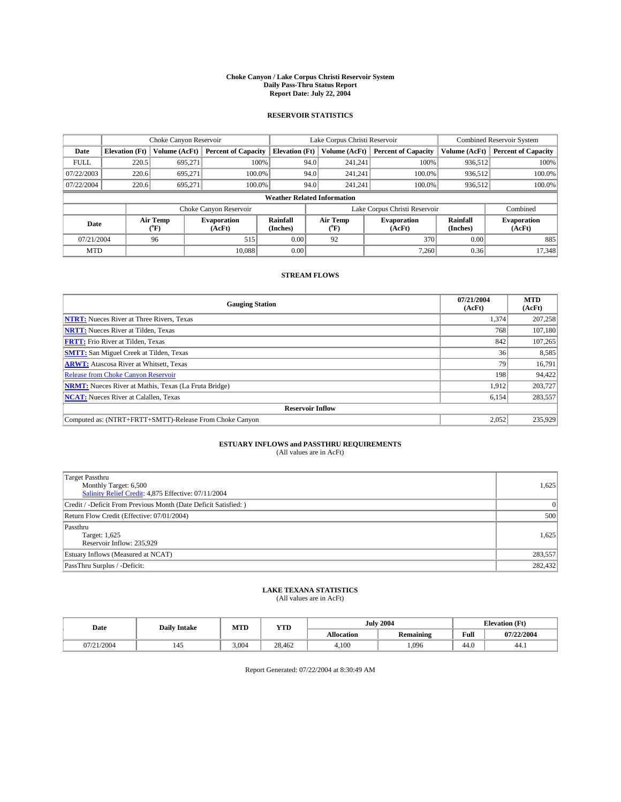#### **Choke Canyon / Lake Corpus Christi Reservoir System Daily Pass-Thru Status Report Report Date: July 22, 2004**

### **RESERVOIR STATISTICS**

|             | Choke Canyon Reservoir             |                  | Lake Corpus Christi Reservoir |                             |      |                  | Combined Reservoir System     |                      |                              |  |
|-------------|------------------------------------|------------------|-------------------------------|-----------------------------|------|------------------|-------------------------------|----------------------|------------------------------|--|
| Date        | <b>Elevation</b> (Ft)              | Volume (AcFt)    | <b>Percent of Capacity</b>    | <b>Elevation</b> (Ft)       |      | Volume (AcFt)    | <b>Percent of Capacity</b>    | Volume (AcFt)        | <b>Percent of Capacity</b>   |  |
| <b>FULL</b> | 220.5                              | 695,271          |                               | 100%                        | 94.0 | 241,241          | 100%                          | 936.512              | 100%                         |  |
| 07/22/2003  | 220.6                              | 695.271          | $100.0\%$                     |                             | 94.0 | 241.241          | $100.0\%$                     | 936.512              | 100.0%                       |  |
| 07/22/2004  | 220.6                              | 695.271          | 100.0%                        |                             | 94.0 | 241.241          | $100.0\%$                     | 936,512              | 100.0%                       |  |
|             | <b>Weather Related Information</b> |                  |                               |                             |      |                  |                               |                      |                              |  |
|             |                                    |                  | Choke Canyon Reservoir        |                             |      |                  | Lake Corpus Christi Reservoir |                      | Combined                     |  |
| Date        |                                    | Air Temp<br>(°F) | <b>Evaporation</b><br>(AcFt)  | <b>Rainfall</b><br>(Inches) |      | Air Temp<br>("F) | <b>Evaporation</b><br>(AcFt)  | Rainfall<br>(Inches) | <b>Evaporation</b><br>(AcFt) |  |
| 07/21/2004  |                                    | 96               | 515                           | 0.00                        |      | 92               | 370                           | 0.00                 | 885                          |  |
| <b>MTD</b>  |                                    |                  | 10.088                        | 0.00                        |      |                  | 7,260                         | 0.36                 | 17,348                       |  |

## **STREAM FLOWS**

| <b>Gauging Station</b>                                       | 07/21/2004<br>(AcFt) | <b>MTD</b><br>(AcFt) |
|--------------------------------------------------------------|----------------------|----------------------|
| <b>NTRT:</b> Nueces River at Three Rivers, Texas             | 1,374                | 207,258              |
| <b>NRTT:</b> Nueces River at Tilden, Texas                   | 768                  | 107.180              |
| <b>FRTT:</b> Frio River at Tilden, Texas                     | 842                  | 107,265              |
| <b>SMTT:</b> San Miguel Creek at Tilden, Texas               | 36                   | 8,585                |
| <b>ARWT:</b> Atascosa River at Whitsett, Texas               | 79                   | 16,791               |
| <b>Release from Choke Canyon Reservoir</b>                   | 198                  | 94,422               |
| <b>NRMT:</b> Nueces River at Mathis, Texas (La Fruta Bridge) | 1.912                | 203,727              |
| <b>NCAT:</b> Nueces River at Calallen, Texas                 | 6,154                | 283,557              |
| <b>Reservoir Inflow</b>                                      |                      |                      |
| Computed as: (NTRT+FRTT+SMTT)-Release From Choke Canyon      | 2,052                | 235,929              |

## **ESTUARY INFLOWS and PASSTHRU REQUIREMENTS**<br>(All values are in AcFt)

| Target Passthru<br>Monthly Target: 6,500<br>Salinity Relief Credit: 4,875 Effective: 07/11/2004 | 1,625   |
|-------------------------------------------------------------------------------------------------|---------|
| Credit / -Deficit From Previous Month (Date Deficit Satisfied: )                                | 0       |
| Return Flow Credit (Effective: 07/01/2004)                                                      | 500     |
| Passthru<br>Target: 1,625<br>Reservoir Inflow: 235,929                                          | 1,625   |
| Estuary Inflows (Measured at NCAT)                                                              | 283,557 |
| PassThru Surplus / -Deficit:                                                                    | 282,432 |

## **LAKE TEXANA STATISTICS** (All values are in AcFt)

| Date       | <b>Daily Intake</b> | MTD   | <b>YTD</b> |                   | <b>July 2004</b> | <b>Elevation</b> (Ft) |            |
|------------|---------------------|-------|------------|-------------------|------------------|-----------------------|------------|
|            |                     |       |            | <b>Allocation</b> | <b>Remaining</b> | Full                  | 07/22/2004 |
| 07/21/2004 | 145                 | 3.004 | 28.462     | 4,100             | ,096             | 44.0                  | 44.1       |

Report Generated: 07/22/2004 at 8:30:49 AM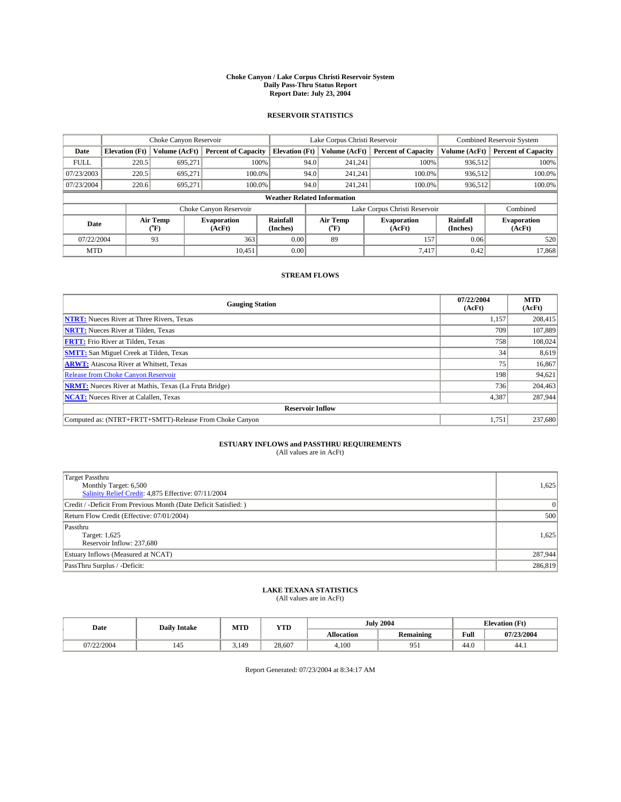#### **Choke Canyon / Lake Corpus Christi Reservoir System Daily Pass-Thru Status Report Report Date: July 23, 2004**

### **RESERVOIR STATISTICS**

|             | Choke Canyon Reservoir             |                  |                              | Lake Corpus Christi Reservoir | Combined Reservoir System |                  |                               |                      |                              |  |
|-------------|------------------------------------|------------------|------------------------------|-------------------------------|---------------------------|------------------|-------------------------------|----------------------|------------------------------|--|
| Date        | <b>Elevation (Ft)</b>              | Volume (AcFt)    | <b>Percent of Capacity</b>   | <b>Elevation</b> (Ft)         |                           | Volume (AcFt)    | <b>Percent of Capacity</b>    | Volume (AcFt)        | <b>Percent of Capacity</b>   |  |
| <b>FULL</b> | 220.5                              | 695,271          | 100%                         |                               | 94.0                      | 241,241          | 100%                          | 936.512              | 100%                         |  |
| 07/23/2003  | 220.5                              | 695.271          | $100.0\%$                    |                               | 94.0                      | 241.241          | $100.0\%$                     | 936.512              | 100.0%                       |  |
| 07/23/2004  | 220.6                              | 695.271          | 100.0%                       |                               | 94.0                      | 241.241          | $100.0\%$                     | 936,512              | 100.0%                       |  |
|             | <b>Weather Related Information</b> |                  |                              |                               |                           |                  |                               |                      |                              |  |
|             |                                    |                  | Choke Canyon Reservoir       |                               |                           |                  | Lake Corpus Christi Reservoir |                      | Combined                     |  |
| Date        |                                    | Air Temp<br>(°F) | <b>Evaporation</b><br>(AcFt) | <b>Rainfall</b><br>(Inches)   |                           | Air Temp<br>("F) | <b>Evaporation</b><br>(AcFt)  | Rainfall<br>(Inches) | <b>Evaporation</b><br>(AcFt) |  |
| 07/22/2004  |                                    | 93               | 363                          | 0.00                          |                           | 89               | 157'                          | 0.06                 | 520                          |  |
| <b>MTD</b>  |                                    |                  | 10.451                       | 0.00                          |                           |                  | 7,417                         | 0.42                 | 17,868                       |  |

## **STREAM FLOWS**

| <b>Gauging Station</b>                                       | 07/22/2004<br>(AcFt) | <b>MTD</b><br>(AcFt) |
|--------------------------------------------------------------|----------------------|----------------------|
| <b>NTRT:</b> Nueces River at Three Rivers, Texas             | 1.157                | 208,415              |
| <b>NRTT:</b> Nueces River at Tilden, Texas                   | 709                  | 107.889              |
| <b>FRTT:</b> Frio River at Tilden, Texas                     | 758                  | 108.024              |
| <b>SMTT:</b> San Miguel Creek at Tilden, Texas               | 34                   | 8,619                |
| <b>ARWT:</b> Atascosa River at Whitsett, Texas               | 75                   | 16,867               |
| Release from Choke Canyon Reservoir                          | 198                  | 94,621               |
| <b>NRMT:</b> Nueces River at Mathis, Texas (La Fruta Bridge) | 736                  | 204,463              |
| <b>NCAT:</b> Nueces River at Calallen, Texas                 | 4,387                | 287,944              |
| <b>Reservoir Inflow</b>                                      |                      |                      |
| Computed as: (NTRT+FRTT+SMTT)-Release From Choke Canyon      | 1.751                | 237,680              |

## **ESTUARY INFLOWS and PASSTHRU REQUIREMENTS**<br>(All values are in AcFt)

| Target Passthru<br>Monthly Target: 6,500<br>Salinity Relief Credit: 4,875 Effective: 07/11/2004 | 1,625   |
|-------------------------------------------------------------------------------------------------|---------|
| Credit / -Deficit From Previous Month (Date Deficit Satisfied: )                                | 0       |
| Return Flow Credit (Effective: 07/01/2004)                                                      | 500     |
| Passthru<br>Target: 1,625<br>Reservoir Inflow: 237,680                                          | 1,625   |
| Estuary Inflows (Measured at NCAT)                                                              | 287,944 |
| PassThru Surplus / -Deficit:                                                                    | 286,819 |

## **LAKE TEXANA STATISTICS** (All values are in AcFt)

| Date       | <b>Daily Intake</b> | MTD   | <b>VTT</b><br>1. L.D |            | <b>July 2004</b> | <b>Elevation</b> (Ft) |            |
|------------|---------------------|-------|----------------------|------------|------------------|-----------------------|------------|
|            |                     |       |                      | Allocation | <b>Remaining</b> | Full                  | 07/23/2004 |
| 07/22/2004 | 145                 | 3.149 | 28,607               | 4.100      | 05<br>,,,        | 44.0                  | 44.1       |

Report Generated: 07/23/2004 at 8:34:17 AM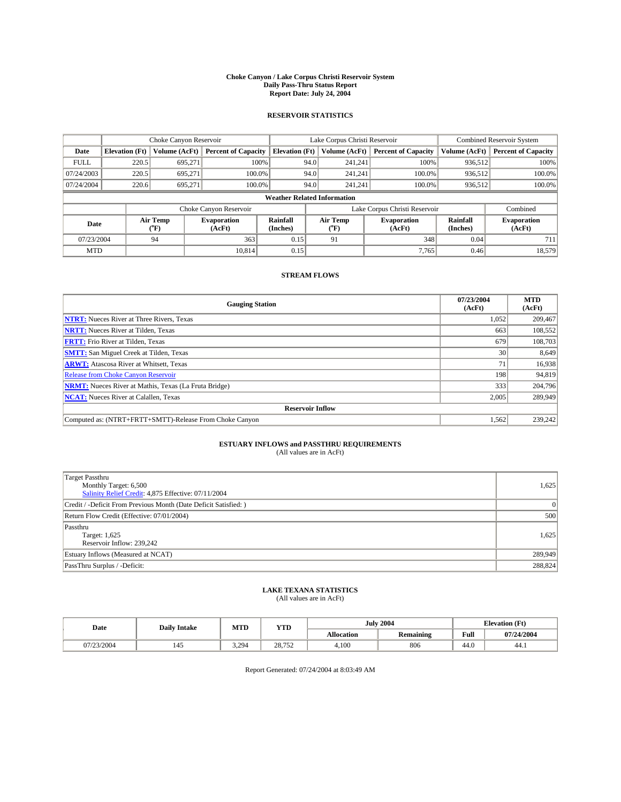#### **Choke Canyon / Lake Corpus Christi Reservoir System Daily Pass-Thru Status Report Report Date: July 24, 2004**

### **RESERVOIR STATISTICS**

|             | Choke Canyon Reservoir             |                  | Lake Corpus Christi Reservoir |                             |      |                  | Combined Reservoir System     |                      |                              |  |
|-------------|------------------------------------|------------------|-------------------------------|-----------------------------|------|------------------|-------------------------------|----------------------|------------------------------|--|
| Date        | <b>Elevation</b> (Ft)              | Volume (AcFt)    | <b>Percent of Capacity</b>    | <b>Elevation</b> (Ft)       |      | Volume (AcFt)    | <b>Percent of Capacity</b>    | Volume (AcFt)        | <b>Percent of Capacity</b>   |  |
| <b>FULL</b> | 220.5                              | 695,271          |                               | 100%                        | 94.0 | 241,241          | 100%                          | 936.512              | 100%                         |  |
| 07/24/2003  | 220.5                              | 695.271          | $100.0\%$                     |                             | 94.0 | 241.241          | $100.0\%$                     | 936.512              | 100.0%                       |  |
| 07/24/2004  | 220.6                              | 695.271          | 100.0%                        |                             | 94.0 | 241.241          | $100.0\%$                     | 936,512              | 100.0%                       |  |
|             | <b>Weather Related Information</b> |                  |                               |                             |      |                  |                               |                      |                              |  |
|             |                                    |                  | Choke Canyon Reservoir        |                             |      |                  | Lake Corpus Christi Reservoir |                      | Combined                     |  |
| Date        |                                    | Air Temp<br>(°F) | <b>Evaporation</b><br>(AcFt)  | <b>Rainfall</b><br>(Inches) |      | Air Temp<br>("F) | <b>Evaporation</b><br>(AcFt)  | Rainfall<br>(Inches) | <b>Evaporation</b><br>(AcFt) |  |
| 07/23/2004  |                                    | 94               | 363                           | 0.15                        |      | 91               | 348                           | 0.04                 | 711                          |  |
| <b>MTD</b>  |                                    |                  | 10.814                        | 0.15                        |      |                  | 7,765                         | 0.46                 | 18,579                       |  |

## **STREAM FLOWS**

| <b>Gauging Station</b>                                       | 07/23/2004<br>(AcFt) | <b>MTD</b><br>(AcFt) |
|--------------------------------------------------------------|----------------------|----------------------|
| <b>NTRT:</b> Nueces River at Three Rivers, Texas             | 1,052                | 209,467              |
| <b>NRTT:</b> Nueces River at Tilden, Texas                   | 663                  | 108.552              |
| <b>FRTT:</b> Frio River at Tilden, Texas                     | 679                  | 108,703              |
| <b>SMTT:</b> San Miguel Creek at Tilden, Texas               | 30                   | 8,649                |
| <b>ARWT:</b> Atascosa River at Whitsett, Texas               | 71                   | 16,938               |
| Release from Choke Canyon Reservoir                          | 198                  | 94.819               |
| <b>NRMT:</b> Nueces River at Mathis, Texas (La Fruta Bridge) | 333                  | 204,796              |
| <b>NCAT:</b> Nueces River at Calallen, Texas                 | 2,005                | 289,949              |
| <b>Reservoir Inflow</b>                                      |                      |                      |
| Computed as: (NTRT+FRTT+SMTT)-Release From Choke Canyon      | 1.562                | 239,242              |

## **ESTUARY INFLOWS and PASSTHRU REQUIREMENTS**<br>(All values are in AcFt)

| Target Passthru<br>Monthly Target: 6,500<br>Salinity Relief Credit: 4,875 Effective: 07/11/2004 | 1,625    |
|-------------------------------------------------------------------------------------------------|----------|
| Credit / -Deficit From Previous Month (Date Deficit Satisfied: )                                | $\Omega$ |
| Return Flow Credit (Effective: 07/01/2004)                                                      | 500      |
| Passthru<br>Target: 1,625<br>Reservoir Inflow: 239,242                                          | 1,625    |
| Estuary Inflows (Measured at NCAT)                                                              | 289,949  |
| PassThru Surplus / -Deficit:                                                                    | 288,824  |

## **LAKE TEXANA STATISTICS** (All values are in AcFt)

| Date     | <b>Daily Intake</b> | MTD   | <b>WITH</b><br>1 I.D |            | <b>July 2004</b> | <b>Elevation</b> (Ft) |            |
|----------|---------------------|-------|----------------------|------------|------------------|-----------------------|------------|
|          |                     |       |                      | Allocation | Remaining        | Full                  | 07/24/2004 |
| /23/2004 | 145                 | 3.294 | 20752<br>20.132      | 4.100      | 806              | 44.0                  | 44.1       |

Report Generated: 07/24/2004 at 8:03:49 AM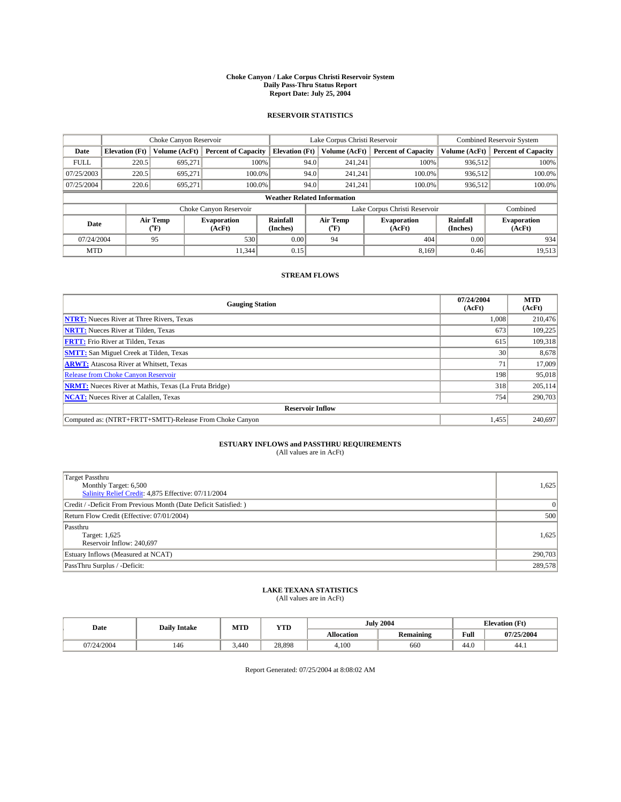#### **Choke Canyon / Lake Corpus Christi Reservoir System Daily Pass-Thru Status Report Report Date: July 25, 2004**

### **RESERVOIR STATISTICS**

|             | Choke Canyon Reservoir             |                  | Lake Corpus Christi Reservoir |                             |                               |                  | Combined Reservoir System    |                      |                              |  |
|-------------|------------------------------------|------------------|-------------------------------|-----------------------------|-------------------------------|------------------|------------------------------|----------------------|------------------------------|--|
| Date        | <b>Elevation</b> (Ft)              | Volume (AcFt)    | <b>Percent of Capacity</b>    | <b>Elevation</b> (Ft)       |                               | Volume (AcFt)    | <b>Percent of Capacity</b>   | Volume (AcFt)        | <b>Percent of Capacity</b>   |  |
| <b>FULL</b> | 220.5                              | 695,271          |                               | 100%                        | 94.0                          | 241,241          | 100%                         | 936.512              | 100%                         |  |
| 07/25/2003  | 220.5                              | 695.271          | $100.0\%$                     |                             | 94.0                          | 241.241          | $100.0\%$                    | 936.512              | 100.0%                       |  |
| 07/25/2004  | 220.6                              | 695.271          | 100.0%                        |                             | 94.0                          | 241.241          | $100.0\%$                    | 936,512              | 100.0%                       |  |
|             | <b>Weather Related Information</b> |                  |                               |                             |                               |                  |                              |                      |                              |  |
|             |                                    |                  | Choke Canyon Reservoir        |                             | Lake Corpus Christi Reservoir |                  |                              |                      | Combined                     |  |
| Date        |                                    | Air Temp<br>(°F) | <b>Evaporation</b><br>(AcFt)  | <b>Rainfall</b><br>(Inches) |                               | Air Temp<br>("F) | <b>Evaporation</b><br>(AcFt) | Rainfall<br>(Inches) | <b>Evaporation</b><br>(AcFt) |  |
| 07/24/2004  |                                    | 95               | 530                           | 0.00                        |                               | 94               | 404                          | 0.00                 | 934                          |  |
| <b>MTD</b>  |                                    |                  | 11.344                        | 0.15                        |                               |                  | 8.169                        | 0.46                 | 19,513                       |  |

## **STREAM FLOWS**

| <b>Gauging Station</b>                                       | 07/24/2004<br>(AcFt) | <b>MTD</b><br>(AcFt) |
|--------------------------------------------------------------|----------------------|----------------------|
| <b>NTRT:</b> Nueces River at Three Rivers, Texas             | 1.008                | 210,476              |
| <b>NRTT:</b> Nueces River at Tilden, Texas                   | 673                  | 109.225              |
| <b>FRTT:</b> Frio River at Tilden, Texas                     | 615                  | 109,318              |
| <b>SMTT:</b> San Miguel Creek at Tilden, Texas               | 30                   | 8,678                |
| <b>ARWT:</b> Atascosa River at Whitsett, Texas               | 71                   | 17,009               |
| Release from Choke Canyon Reservoir                          | 198                  | 95,018               |
| <b>NRMT:</b> Nueces River at Mathis, Texas (La Fruta Bridge) | 318                  | 205,114              |
| <b>NCAT:</b> Nueces River at Calallen, Texas                 | 754                  | 290,703              |
| <b>Reservoir Inflow</b>                                      |                      |                      |
| Computed as: (NTRT+FRTT+SMTT)-Release From Choke Canyon      | 1,455                | 240,697              |

## **ESTUARY INFLOWS and PASSTHRU REQUIREMENTS**<br>(All values are in AcFt)

| Target Passthru<br>Monthly Target: 6,500<br>Salinity Relief Credit: 4,875 Effective: 07/11/2004 | 1,625   |
|-------------------------------------------------------------------------------------------------|---------|
| Credit / -Deficit From Previous Month (Date Deficit Satisfied: )                                | 0       |
| Return Flow Credit (Effective: 07/01/2004)                                                      | 500     |
| Passthru<br>Target: 1,625<br>Reservoir Inflow: 240,697                                          | 1,625   |
| Estuary Inflows (Measured at NCAT)                                                              | 290,703 |
| PassThru Surplus / -Deficit:                                                                    | 289,578 |

## **LAKE TEXANA STATISTICS** (All values are in AcFt)

| Date       | <b>Daily Intake</b> | MTD   | <b>VTT</b><br>1. L.D |            | <b>July 2004</b> | <b>Elevation</b> (Ft) |            |
|------------|---------------------|-------|----------------------|------------|------------------|-----------------------|------------|
|            |                     |       |                      | Allocation | <b>Remaining</b> | Full                  | 07/25/2004 |
| 07/24/2004 | 146                 | 3.440 | 28,898               | 4.100      | 660              | 44.0                  | 44.1       |

Report Generated: 07/25/2004 at 8:08:02 AM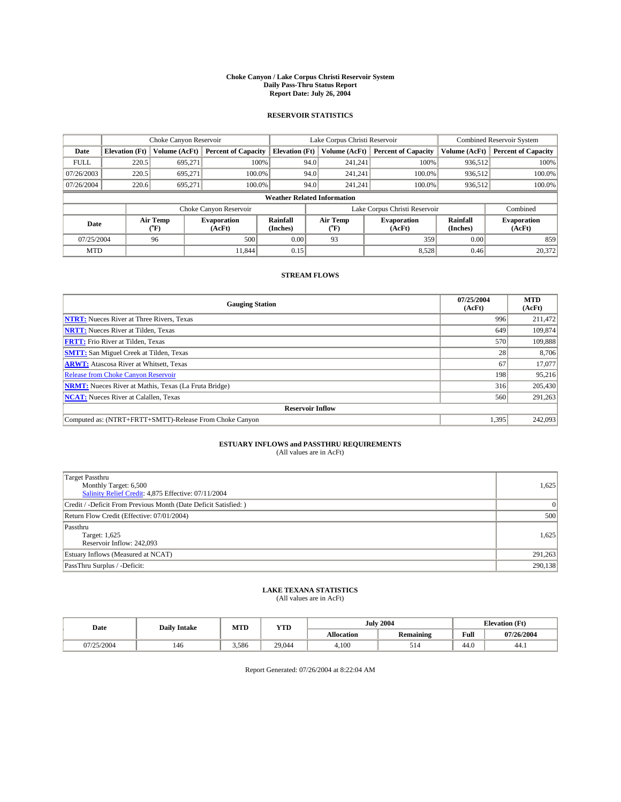#### **Choke Canyon / Lake Corpus Christi Reservoir System Daily Pass-Thru Status Report Report Date: July 26, 2004**

### **RESERVOIR STATISTICS**

|             | Choke Canyon Reservoir             |                  | Lake Corpus Christi Reservoir |                             |      |                  | Combined Reservoir System     |                      |                              |  |
|-------------|------------------------------------|------------------|-------------------------------|-----------------------------|------|------------------|-------------------------------|----------------------|------------------------------|--|
| Date        | <b>Elevation</b> (Ft)              | Volume (AcFt)    | <b>Percent of Capacity</b>    | <b>Elevation</b> (Ft)       |      | Volume (AcFt)    | <b>Percent of Capacity</b>    | Volume (AcFt)        | <b>Percent of Capacity</b>   |  |
| <b>FULL</b> | 220.5                              | 695,271          |                               | 100%                        | 94.0 | 241,241          | 100%                          | 936.512              | 100%                         |  |
| 07/26/2003  | 220.5                              | 695.271          | $100.0\%$                     |                             | 94.0 | 241.241          | $100.0\%$                     | 936.512              | 100.0%                       |  |
| 07/26/2004  | 220.6                              | 695.271          | 100.0%                        |                             | 94.0 | 241.241          | $100.0\%$                     | 936,512              | 100.0%                       |  |
|             | <b>Weather Related Information</b> |                  |                               |                             |      |                  |                               |                      |                              |  |
|             |                                    |                  | Choke Canyon Reservoir        |                             |      |                  | Lake Corpus Christi Reservoir |                      | Combined                     |  |
| Date        |                                    | Air Temp<br>(°F) | <b>Evaporation</b><br>(AcFt)  | <b>Rainfall</b><br>(Inches) |      | Air Temp<br>("F) | <b>Evaporation</b><br>(AcFt)  | Rainfall<br>(Inches) | <b>Evaporation</b><br>(AcFt) |  |
| 07/25/2004  |                                    | 96               | 500                           | 0.00                        |      | 93               | 359                           | 0.00                 | 859                          |  |
| <b>MTD</b>  |                                    |                  | 11.844                        | 0.15                        |      |                  | 8,528                         | 0.46                 | 20,372                       |  |

## **STREAM FLOWS**

| <b>Gauging Station</b>                                       | 07/25/2004<br>(AcFt) | <b>MTD</b><br>(AcFt) |  |  |  |  |  |
|--------------------------------------------------------------|----------------------|----------------------|--|--|--|--|--|
| <b>NTRT:</b> Nueces River at Three Rivers, Texas             | 996                  | 211,472              |  |  |  |  |  |
| <b>NRTT:</b> Nueces River at Tilden, Texas                   | 649                  | 109.874              |  |  |  |  |  |
| <b>FRTT:</b> Frio River at Tilden, Texas                     | 570                  | 109,888              |  |  |  |  |  |
| <b>SMTT:</b> San Miguel Creek at Tilden, Texas               | 28                   | 8,706                |  |  |  |  |  |
| <b>ARWT:</b> Atascosa River at Whitsett, Texas               | 67                   | 17,077               |  |  |  |  |  |
| Release from Choke Canyon Reservoir                          | 198                  | 95,216               |  |  |  |  |  |
| <b>NRMT:</b> Nueces River at Mathis, Texas (La Fruta Bridge) | 316                  | 205,430              |  |  |  |  |  |
| <b>NCAT:</b> Nueces River at Calallen, Texas                 | 560                  | 291,263              |  |  |  |  |  |
| <b>Reservoir Inflow</b>                                      |                      |                      |  |  |  |  |  |
| Computed as: (NTRT+FRTT+SMTT)-Release From Choke Canyon      | 1.395                | 242,093              |  |  |  |  |  |

## **ESTUARY INFLOWS and PASSTHRU REQUIREMENTS**<br>(All values are in AcFt)

| Target Passthru<br>Monthly Target: 6,500<br>Salinity Relief Credit: 4,875 Effective: 07/11/2004 | 1,625   |
|-------------------------------------------------------------------------------------------------|---------|
| Credit / -Deficit From Previous Month (Date Deficit Satisfied: )                                | 0       |
| Return Flow Credit (Effective: 07/01/2004)                                                      | 500     |
| Passthru<br>Target: 1,625<br>Reservoir Inflow: 242,093                                          | 1,625   |
| Estuary Inflows (Measured at NCAT)                                                              | 291,263 |
| PassThru Surplus / -Deficit:                                                                    | 290,138 |

## **LAKE TEXANA STATISTICS** (All values are in AcFt)

| Date       | <b>Daily Intake</b> | MTD   | <b>VTT</b><br>1. L.D |            | <b>July 2004</b> | <b>Elevation</b> (Ft) |            |
|------------|---------------------|-------|----------------------|------------|------------------|-----------------------|------------|
|            |                     |       |                      | Allocation | Remaining        | Full                  | 07/26/2004 |
| 07/25/2004 | 146                 | 3.586 | 29,044               | 4,100      | 514              | 44.0                  | 44.1       |

Report Generated: 07/26/2004 at 8:22:04 AM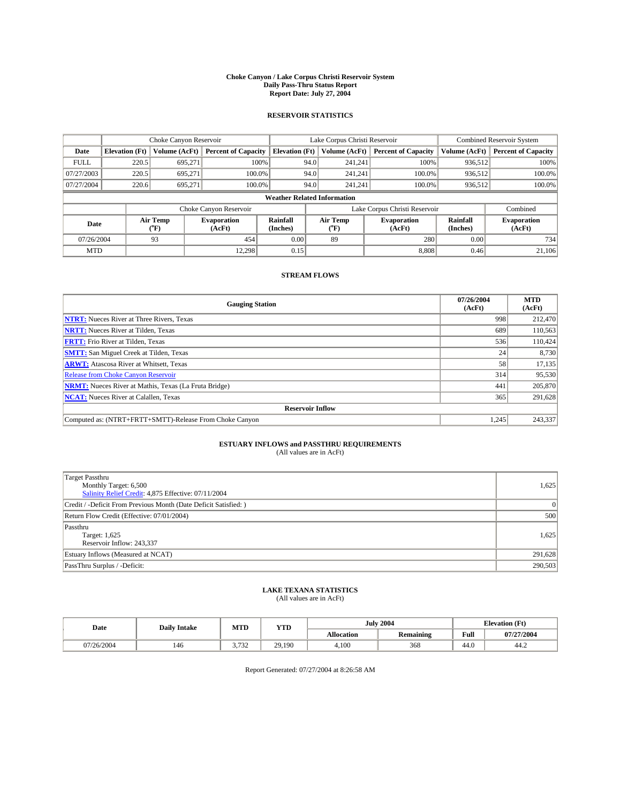#### **Choke Canyon / Lake Corpus Christi Reservoir System Daily Pass-Thru Status Report Report Date: July 27, 2004**

### **RESERVOIR STATISTICS**

|             | Choke Canyon Reservoir             |                  |                              |                             | Lake Corpus Christi Reservoir |                  |                              |                      | Combined Reservoir System    |  |  |
|-------------|------------------------------------|------------------|------------------------------|-----------------------------|-------------------------------|------------------|------------------------------|----------------------|------------------------------|--|--|
| Date        | <b>Elevation</b> (Ft)              | Volume (AcFt)    | <b>Percent of Capacity</b>   | <b>Elevation</b> (Ft)       |                               | Volume (AcFt)    | <b>Percent of Capacity</b>   | Volume (AcFt)        | <b>Percent of Capacity</b>   |  |  |
| <b>FULL</b> | 220.5                              | 695,271          | 100%                         |                             | 94.0                          | 241,241          | 100%                         | 936.512              | 100%                         |  |  |
| 07/27/2003  | 220.5                              | 695.271          | $100.0\%$                    |                             | 94.0                          | 241.241          | $100.0\%$                    | 936.512              | 100.0%                       |  |  |
| 07/27/2004  | 220.6                              | 695.271          | 100.0%                       |                             | 94.0                          | 241.241          | $100.0\%$                    | 936,512              | 100.0%                       |  |  |
|             | <b>Weather Related Information</b> |                  |                              |                             |                               |                  |                              |                      |                              |  |  |
|             |                                    |                  | Choke Canyon Reservoir       |                             | Lake Corpus Christi Reservoir |                  |                              |                      | Combined                     |  |  |
| Date        |                                    | Air Temp<br>(°F) | <b>Evaporation</b><br>(AcFt) | <b>Rainfall</b><br>(Inches) |                               | Air Temp<br>("F) | <b>Evaporation</b><br>(AcFt) | Rainfall<br>(Inches) | <b>Evaporation</b><br>(AcFt) |  |  |
| 07/26/2004  |                                    | 93               | 454                          | 0.00                        |                               | 89               | 280                          | 0.00                 | 734                          |  |  |
| <b>MTD</b>  |                                    |                  | 12,298                       | 0.15                        |                               |                  | 8,808                        | 0.46                 | 21,106                       |  |  |

## **STREAM FLOWS**

| <b>Gauging Station</b>                                       | 07/26/2004<br>(AcFt) | <b>MTD</b><br>(AcFt) |
|--------------------------------------------------------------|----------------------|----------------------|
| <b>NTRT:</b> Nueces River at Three Rivers, Texas             | 998                  | 212,470              |
| <b>NRTT:</b> Nueces River at Tilden, Texas                   | 689                  | 110,563              |
| <b>FRTT:</b> Frio River at Tilden, Texas                     | 536                  | 110,424              |
| <b>SMTT:</b> San Miguel Creek at Tilden, Texas               | 24                   | 8,730                |
| <b>ARWT:</b> Atascosa River at Whitsett, Texas               | 58                   | 17,135               |
| <b>Release from Choke Canyon Reservoir</b>                   | 314                  | 95,530               |
| <b>NRMT:</b> Nueces River at Mathis, Texas (La Fruta Bridge) | 441                  | 205,870              |
| <b>NCAT:</b> Nueces River at Calallen, Texas                 | 365                  | 291,628              |
| <b>Reservoir Inflow</b>                                      |                      |                      |
| Computed as: (NTRT+FRTT+SMTT)-Release From Choke Canyon      | 1.245                | 243,337              |

## **ESTUARY INFLOWS and PASSTHRU REQUIREMENTS**<br>(All values are in AcFt)

| Target Passthru<br>Monthly Target: 6,500<br>Salinity Relief Credit: 4,875 Effective: 07/11/2004 | 1,625           |
|-------------------------------------------------------------------------------------------------|-----------------|
| Credit / -Deficit From Previous Month (Date Deficit Satisfied: )                                | $\vert 0 \vert$ |
| Return Flow Credit (Effective: 07/01/2004)                                                      | 500             |
| Passthru<br>Target: 1,625<br>Reservoir Inflow: 243,337                                          | 1,625           |
| Estuary Inflows (Measured at NCAT)                                                              | 291,628         |
| PassThru Surplus / -Deficit:                                                                    | 290,503         |

## **LAKE TEXANA STATISTICS** (All values are in AcFt)

| Date       | <b>Daily Intake</b> | MTD          | <b>VTT</b><br>1. L.D |            | <b>July 2004</b> | <b>Elevation</b> (Ft) |            |
|------------|---------------------|--------------|----------------------|------------|------------------|-----------------------|------------|
|            |                     |              |                      | Allocation | <b>Remaining</b> | Full                  | 07/27/2004 |
| 07/26/2004 | 146                 | 2.722<br>132 | 29.190               | 4.100      | 368              | 44.0                  | 44.4       |

Report Generated: 07/27/2004 at 8:26:58 AM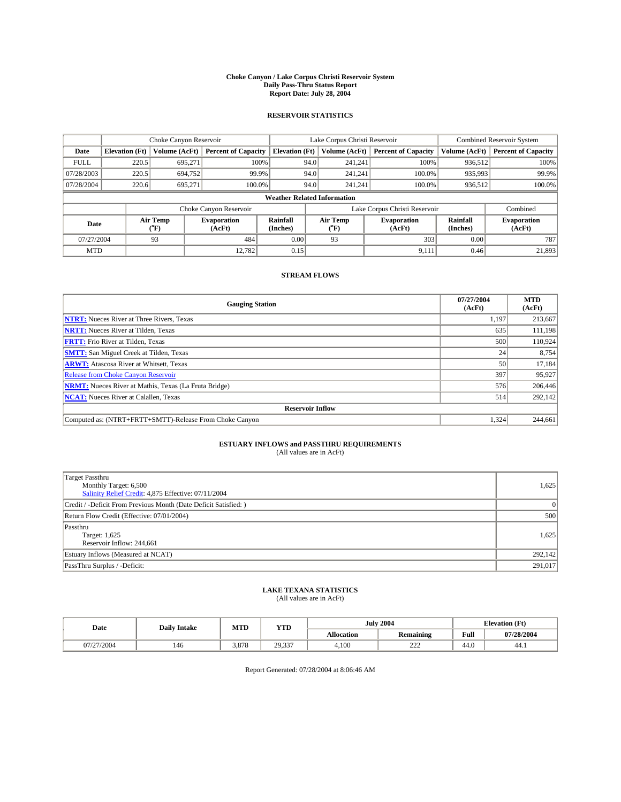#### **Choke Canyon / Lake Corpus Christi Reservoir System Daily Pass-Thru Status Report Report Date: July 28, 2004**

### **RESERVOIR STATISTICS**

|                                    | Choke Canyon Reservoir |                  |                              |                             | Lake Corpus Christi Reservoir |                  |                               |                      | <b>Combined Reservoir System</b> |  |  |
|------------------------------------|------------------------|------------------|------------------------------|-----------------------------|-------------------------------|------------------|-------------------------------|----------------------|----------------------------------|--|--|
| Date                               | <b>Elevation</b> (Ft)  | Volume (AcFt)    | <b>Percent of Capacity</b>   | <b>Elevation</b> (Ft)       |                               | Volume (AcFt)    | <b>Percent of Capacity</b>    | Volume (AcFt)        | <b>Percent of Capacity</b>       |  |  |
| <b>FULL</b>                        | 220.5                  | 695,271          | 100%                         |                             | 94.0                          | 241,241          | 100%                          | 936,512              | 100%                             |  |  |
| 07/28/2003                         | 220.5                  | 694,752          | 99.9%                        |                             | 94.0                          | 241.241          | 100.0%                        | 935,993              | 99.9%                            |  |  |
| 07/28/2004                         | 220.6                  | 695.271          | $100.0\%$                    |                             | 94.0                          | 241.241          | $100.0\%$                     | 936,512              | 100.0%                           |  |  |
| <b>Weather Related Information</b> |                        |                  |                              |                             |                               |                  |                               |                      |                                  |  |  |
|                                    |                        |                  | Choke Canyon Reservoir       |                             |                               |                  | Lake Corpus Christi Reservoir |                      | Combined                         |  |  |
| Date                               |                        | Air Temp<br>(°F) | <b>Evaporation</b><br>(AcFt) | <b>Rainfall</b><br>(Inches) |                               | Air Temp<br>("F) | <b>Evaporation</b><br>(AcFt)  | Rainfall<br>(Inches) | <b>Evaporation</b><br>(AcFt)     |  |  |
| 07/27/2004                         |                        | 93               | 484                          | 0.00                        |                               | 93               | 303                           | 0.00                 | 787                              |  |  |
| <b>MTD</b>                         |                        |                  | 12,782                       | 0.15                        |                               |                  | 9,111                         | 0.46                 | 21,893                           |  |  |

### **STREAM FLOWS**

| <b>Gauging Station</b>                                       | 07/27/2004<br>(AcFt) | <b>MTD</b><br>(AcFt) |  |  |  |  |  |
|--------------------------------------------------------------|----------------------|----------------------|--|--|--|--|--|
| <b>NTRT:</b> Nueces River at Three Rivers, Texas             | 1.197                | 213,667              |  |  |  |  |  |
| <b>NRTT:</b> Nueces River at Tilden, Texas                   | 635                  | 111.198              |  |  |  |  |  |
| <b>FRTT:</b> Frio River at Tilden, Texas                     | 500                  | 110,924              |  |  |  |  |  |
| <b>SMTT:</b> San Miguel Creek at Tilden, Texas               | 24                   | 8,754                |  |  |  |  |  |
| <b>ARWT:</b> Atascosa River at Whitsett, Texas               | 50                   | 17,184               |  |  |  |  |  |
| <b>Release from Choke Canyon Reservoir</b>                   | 397                  | 95,927               |  |  |  |  |  |
| <b>NRMT:</b> Nueces River at Mathis, Texas (La Fruta Bridge) | 576                  | 206,446              |  |  |  |  |  |
| <b>NCAT:</b> Nueces River at Calallen, Texas                 | 514                  | 292,142              |  |  |  |  |  |
| <b>Reservoir Inflow</b>                                      |                      |                      |  |  |  |  |  |
| Computed as: (NTRT+FRTT+SMTT)-Release From Choke Canyon      | 1,324                | 244,661              |  |  |  |  |  |

## **ESTUARY INFLOWS and PASSTHRU REQUIREMENTS**<br>(All values are in AcFt)

| Target Passthru<br>Monthly Target: 6,500<br>Salinity Relief Credit: 4,875 Effective: 07/11/2004 | 1,625           |
|-------------------------------------------------------------------------------------------------|-----------------|
| Credit / -Deficit From Previous Month (Date Deficit Satisfied: )                                | $\vert 0 \vert$ |
| Return Flow Credit (Effective: 07/01/2004)                                                      | 500             |
| Passthru<br>Target: 1,625<br>Reservoir Inflow: 244,661                                          | 1,625           |
| Estuary Inflows (Measured at NCAT)                                                              | 292,142         |
| PassThru Surplus / -Deficit:                                                                    | 291,017         |

# **LAKE TEXANA STATISTICS** (All values are in AcFt)

| Date              | <b>Daily Intake</b> | MTD   | <b>VTT</b><br>1. L.D |            | <b>July 2004</b> | <b>Elevation</b> (Ft) |            |
|-------------------|---------------------|-------|----------------------|------------|------------------|-----------------------|------------|
|                   |                     |       |                      | Allocation | Remaining        | Full                  | 07/28/2004 |
| 12712004<br>.∠∪∪∸ | 146                 | 3.878 | 20.337<br>، بې ب     | 4.100      | $\sim$<br>---    | 44.0                  | 44.1       |

Report Generated: 07/28/2004 at 8:06:46 AM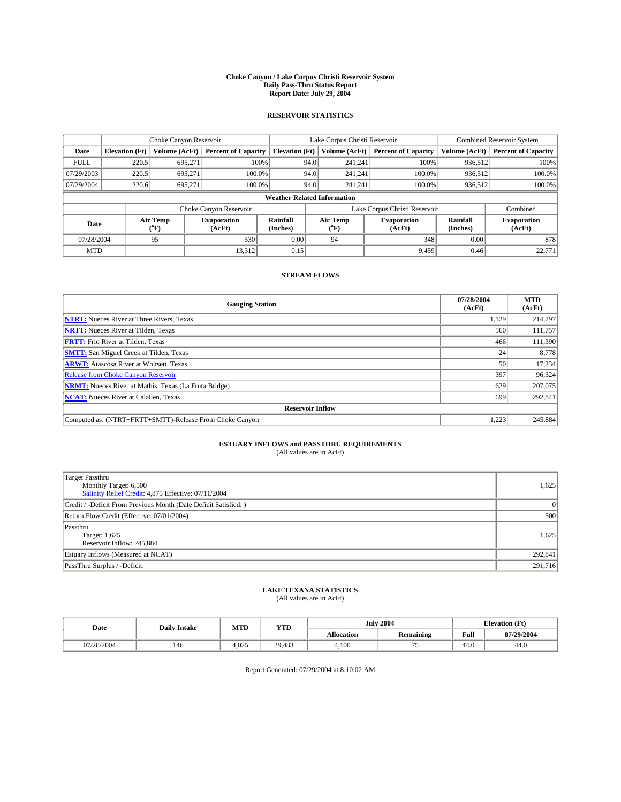#### **Choke Canyon / Lake Corpus Christi Reservoir System Daily Pass-Thru Status Report Report Date: July 29, 2004**

### **RESERVOIR STATISTICS**

|                                    | Choke Canyon Reservoir |                  |                              |                             | Lake Corpus Christi Reservoir |                  |                               |                      | Combined Reservoir System    |  |  |
|------------------------------------|------------------------|------------------|------------------------------|-----------------------------|-------------------------------|------------------|-------------------------------|----------------------|------------------------------|--|--|
| Date                               | <b>Elevation</b> (Ft)  | Volume (AcFt)    | <b>Percent of Capacity</b>   | <b>Elevation</b> (Ft)       |                               | Volume (AcFt)    | <b>Percent of Capacity</b>    | Volume (AcFt)        | <b>Percent of Capacity</b>   |  |  |
| <b>FULL</b>                        | 220.5                  | 695,271          |                              | 100%                        | 94.0                          | 241,241          | 100%                          | 936.512              | 100%                         |  |  |
| 07/29/2003                         | 220.5                  | 695.271          | $100.0\%$                    |                             | 94.0                          | 241.241          | $100.0\%$                     | 936.512              | 100.0%                       |  |  |
| 07/29/2004                         | 220.6                  | 695.271          | 100.0%                       |                             | 94.0                          | 241.241          | $100.0\%$                     | 936,512              | 100.0%                       |  |  |
| <b>Weather Related Information</b> |                        |                  |                              |                             |                               |                  |                               |                      |                              |  |  |
|                                    |                        |                  | Choke Canyon Reservoir       |                             |                               |                  | Lake Corpus Christi Reservoir |                      | Combined                     |  |  |
| Date                               |                        | Air Temp<br>(°F) | <b>Evaporation</b><br>(AcFt) | <b>Rainfall</b><br>(Inches) |                               | Air Temp<br>("F) | <b>Evaporation</b><br>(AcFt)  | Rainfall<br>(Inches) | <b>Evaporation</b><br>(AcFt) |  |  |
| 07/28/2004                         |                        | 95               | 530                          | 0.00                        |                               | 94               | 348                           | 0.00                 | 878                          |  |  |
| <b>MTD</b>                         |                        |                  | 13,312                       | 0.15                        |                               |                  | 9,459                         | 0.46                 | 22,771                       |  |  |

## **STREAM FLOWS**

| <b>Gauging Station</b>                                       | 07/28/2004<br>(AcFt) | <b>MTD</b><br>(AcFt) |  |  |  |  |
|--------------------------------------------------------------|----------------------|----------------------|--|--|--|--|
| <b>NTRT:</b> Nueces River at Three Rivers, Texas             | 1.129                | 214.797              |  |  |  |  |
| <b>NRTT:</b> Nueces River at Tilden, Texas                   | 560                  | 111,757              |  |  |  |  |
| <b>FRTT:</b> Frio River at Tilden, Texas                     | 466                  | 111,390              |  |  |  |  |
| <b>SMTT:</b> San Miguel Creek at Tilden, Texas               | 24                   | 8,778                |  |  |  |  |
| <b>ARWT:</b> Atascosa River at Whitsett, Texas               | 50                   | 17,234               |  |  |  |  |
| <b>Release from Choke Canyon Reservoir</b>                   | 397                  | 96,324               |  |  |  |  |
| <b>NRMT:</b> Nueces River at Mathis, Texas (La Fruta Bridge) | 629                  | 207,075              |  |  |  |  |
| <b>NCAT:</b> Nueces River at Calallen, Texas                 | 699                  | 292,841              |  |  |  |  |
| <b>Reservoir Inflow</b>                                      |                      |                      |  |  |  |  |
| Computed as: (NTRT+FRTT+SMTT)-Release From Choke Canyon      | 1,223                | 245,884              |  |  |  |  |

## **ESTUARY INFLOWS and PASSTHRU REQUIREMENTS**<br>(All values are in AcFt)

| Target Passthru<br>Monthly Target: 6,500<br>Salinity Relief Credit: 4,875 Effective: 07/11/2004 | 1,625   |
|-------------------------------------------------------------------------------------------------|---------|
| Credit / -Deficit From Previous Month (Date Deficit Satisfied: )                                | 0       |
| Return Flow Credit (Effective: 07/01/2004)                                                      | 500     |
| Passthru<br>Target: 1,625<br>Reservoir Inflow: 245,884                                          | 1,625   |
| Estuary Inflows (Measured at NCAT)                                                              | 292,841 |
| PassThru Surplus / -Deficit:                                                                    | 291,716 |

## **LAKE TEXANA STATISTICS** (All values are in AcFt)

| Date       | <b>Daily Intake</b> | MTD   | <b>VTT</b><br>1. L.D | <b>July 2004</b> |           | <b>Elevation</b> (Ft) |            |
|------------|---------------------|-------|----------------------|------------------|-----------|-----------------------|------------|
|            |                     |       |                      | Allocation       | Remaining | Full                  | 07/29/2004 |
| 07/28/2004 | 146                 | 4.025 | 29,483               | 4,100            | $\sim$    | 44.0                  | 44.0       |

Report Generated: 07/29/2004 at 8:10:02 AM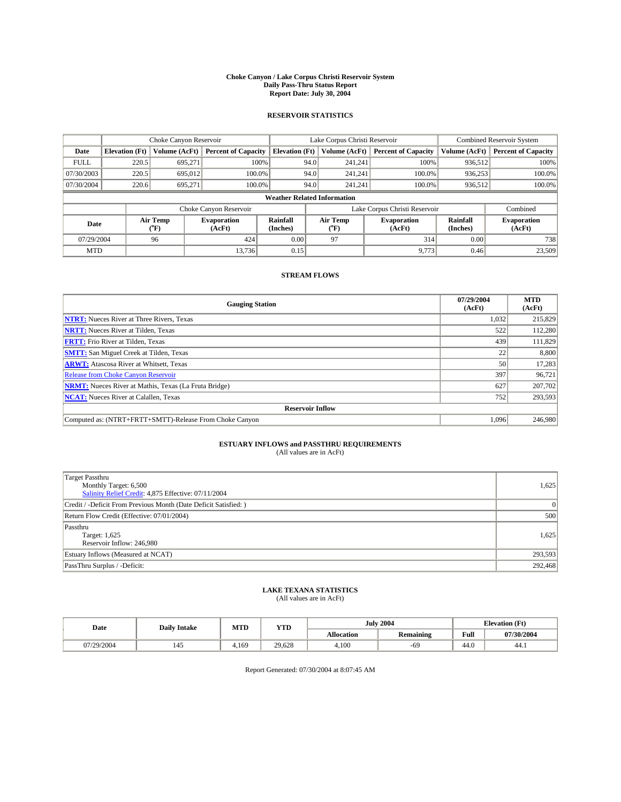#### **Choke Canyon / Lake Corpus Christi Reservoir System Daily Pass-Thru Status Report Report Date: July 30, 2004**

### **RESERVOIR STATISTICS**

|                                    | Choke Canyon Reservoir |                  | Lake Corpus Christi Reservoir |                       |                               |                  | <b>Combined Reservoir System</b> |                      |                              |
|------------------------------------|------------------------|------------------|-------------------------------|-----------------------|-------------------------------|------------------|----------------------------------|----------------------|------------------------------|
| Date                               | <b>Elevation</b> (Ft)  | Volume (AcFt)    | <b>Percent of Capacity</b>    | <b>Elevation (Ft)</b> |                               | Volume (AcFt)    | <b>Percent of Capacity</b>       | Volume (AcFt)        | <b>Percent of Capacity</b>   |
| <b>FULL</b>                        | 220.5                  | 695,271          |                               | 100%                  | 94.0                          | 241,241          | 100%                             | 936.512              | 100%                         |
| 07/30/2003                         | 220.5                  | 695,012          | $100.0\%$                     |                       | 94.0                          | 241.241          | $100.0\%$                        | 936,253              | 100.0%                       |
| 07/30/2004                         | 220.6                  | 695.271          | 100.0%                        |                       | 94.0                          | 241,241          | $100.0\%$                        | 936,512              | 100.0%                       |
| <b>Weather Related Information</b> |                        |                  |                               |                       |                               |                  |                                  |                      |                              |
|                                    |                        |                  | Choke Canyon Reservoir        |                       | Lake Corpus Christi Reservoir |                  |                                  |                      | Combined                     |
| Date                               |                        | Air Temp<br>(°F) | <b>Evaporation</b><br>(AcFt)  | Rainfall<br>(Inches)  |                               | Air Temp<br>("F) | <b>Evaporation</b><br>(AcFt)     | Rainfall<br>(Inches) | <b>Evaporation</b><br>(AcFt) |
| 07/29/2004                         |                        | 96               | 424                           | 0.00                  |                               | 97               | 314                              | 0.00                 | 738                          |
| <b>MTD</b>                         |                        |                  | 13,736                        | 0.15                  |                               |                  | 9.773                            | 0.46                 | 23,509                       |

## **STREAM FLOWS**

| <b>Gauging Station</b>                                       | 07/29/2004<br>(AcFt) | <b>MTD</b><br>(AcFt) |  |  |  |  |
|--------------------------------------------------------------|----------------------|----------------------|--|--|--|--|
| <b>NTRT:</b> Nueces River at Three Rivers, Texas             | 1,032                | 215,829              |  |  |  |  |
| <b>NRTT:</b> Nueces River at Tilden, Texas                   | 522                  | 112.280              |  |  |  |  |
| <b>FRTT:</b> Frio River at Tilden, Texas                     | 439                  | 111,829              |  |  |  |  |
| <b>SMTT:</b> San Miguel Creek at Tilden, Texas               | 22                   | 8,800                |  |  |  |  |
| <b>ARWT:</b> Atascosa River at Whitsett, Texas               | 50                   | 17,283               |  |  |  |  |
| Release from Choke Canyon Reservoir                          | 397                  | 96.721               |  |  |  |  |
| <b>NRMT:</b> Nueces River at Mathis, Texas (La Fruta Bridge) | 627                  | 207,702              |  |  |  |  |
| <b>NCAT:</b> Nueces River at Calallen, Texas                 | 752                  | 293,593              |  |  |  |  |
| <b>Reservoir Inflow</b>                                      |                      |                      |  |  |  |  |
| Computed as: (NTRT+FRTT+SMTT)-Release From Choke Canyon      | 1.096                | 246,980              |  |  |  |  |

## **ESTUARY INFLOWS and PASSTHRU REQUIREMENTS**<br>(All values are in AcFt)

| Target Passthru<br>Monthly Target: 6,500<br>Salinity Relief Credit: 4,875 Effective: 07/11/2004 | 1,625   |
|-------------------------------------------------------------------------------------------------|---------|
| Credit / -Deficit From Previous Month (Date Deficit Satisfied: )                                | 0       |
| Return Flow Credit (Effective: 07/01/2004)                                                      | 500     |
| Passthru<br>Target: 1,625<br>Reservoir Inflow: 246,980                                          | 1,625   |
| Estuary Inflows (Measured at NCAT)                                                              | 293,593 |
| PassThru Surplus / -Deficit:                                                                    | 292,468 |

## **LAKE TEXANA STATISTICS** (All values are in AcFt)

| Date       | <b>Daily Intake</b> | MTD   | <b>VTT</b><br>1. L.D | <b>July 2004</b> |                  | <b>Elevation</b> (Ft) |            |
|------------|---------------------|-------|----------------------|------------------|------------------|-----------------------|------------|
|            |                     |       |                      | Allocation       | <b>Remaining</b> | Full                  | 07/30/2004 |
| J7/29/2004 | 145                 | 4.169 | 29.628               | 4.100            | -69              | 44.0                  | 44.1       |

Report Generated: 07/30/2004 at 8:07:45 AM